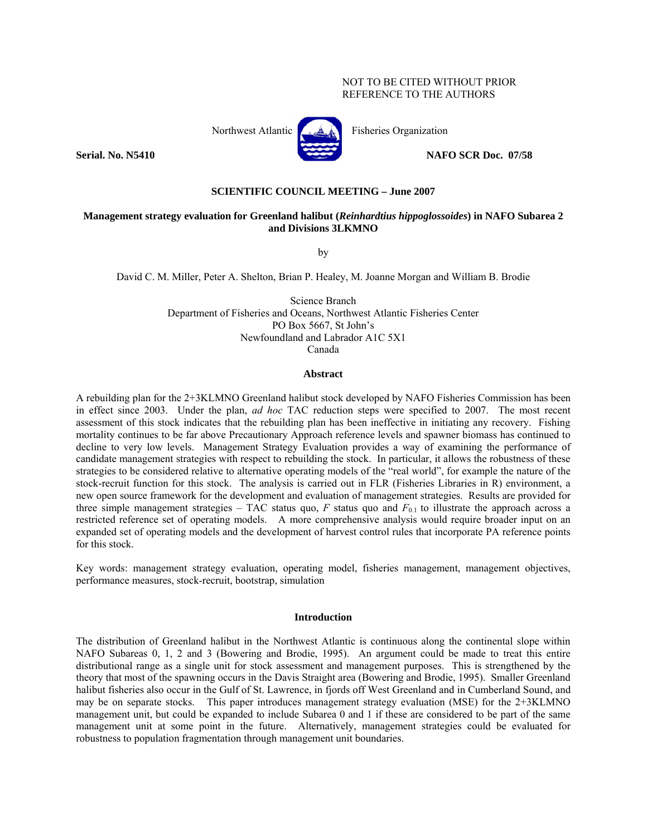# NOT TO BE CITED WITHOUT PRIOR REFERENCE TO THE AUTHORS



## **SCIENTIFIC COUNCIL MEETING – June 2007**

# **Management strategy evaluation for Greenland halibut (***Reinhardtius hippoglossoides***) in NAFO Subarea 2 and Divisions 3LKMNO**

by

David C. M. Miller, Peter A. Shelton, Brian P. Healey, M. Joanne Morgan and William B. Brodie

Science Branch Department of Fisheries and Oceans, Northwest Atlantic Fisheries Center PO Box 5667, St John's Newfoundland and Labrador A1C 5X1 Canada

#### **Abstract**

A rebuilding plan for the 2+3KLMNO Greenland halibut stock developed by NAFO Fisheries Commission has been in effect since 2003. Under the plan, *ad hoc* TAC reduction steps were specified to 2007. The most recent assessment of this stock indicates that the rebuilding plan has been ineffective in initiating any recovery. Fishing mortality continues to be far above Precautionary Approach reference levels and spawner biomass has continued to decline to very low levels. Management Strategy Evaluation provides a way of examining the performance of candidate management strategies with respect to rebuilding the stock. In particular, it allows the robustness of these strategies to be considered relative to alternative operating models of the "real world", for example the nature of the stock-recruit function for this stock. The analysis is carried out in FLR (Fisheries Libraries in R) environment, a new open source framework for the development and evaluation of management strategies. Results are provided for three simple management strategies – TAC status quo,  $F$  status quo and  $F_{0,1}$  to illustrate the approach across a restricted reference set of operating models. A more comprehensive analysis would require broader input on an expanded set of operating models and the development of harvest control rules that incorporate PA reference points for this stock.

Key words: management strategy evaluation, operating model, fisheries management, management objectives, performance measures, stock-recruit, bootstrap, simulation

#### **Introduction**

The distribution of Greenland halibut in the Northwest Atlantic is continuous along the continental slope within NAFO Subareas 0, 1, 2 and 3 (Bowering and Brodie, 1995). An argument could be made to treat this entire distributional range as a single unit for stock assessment and management purposes. This is strengthened by the theory that most of the spawning occurs in the Davis Straight area (Bowering and Brodie, 1995). Smaller Greenland halibut fisheries also occur in the Gulf of St. Lawrence, in fjords off West Greenland and in Cumberland Sound, and may be on separate stocks. This paper introduces management strategy evaluation (MSE) for the 2+3KLMNO management unit, but could be expanded to include Subarea 0 and 1 if these are considered to be part of the same management unit at some point in the future. Alternatively, management strategies could be evaluated for robustness to population fragmentation through management unit boundaries.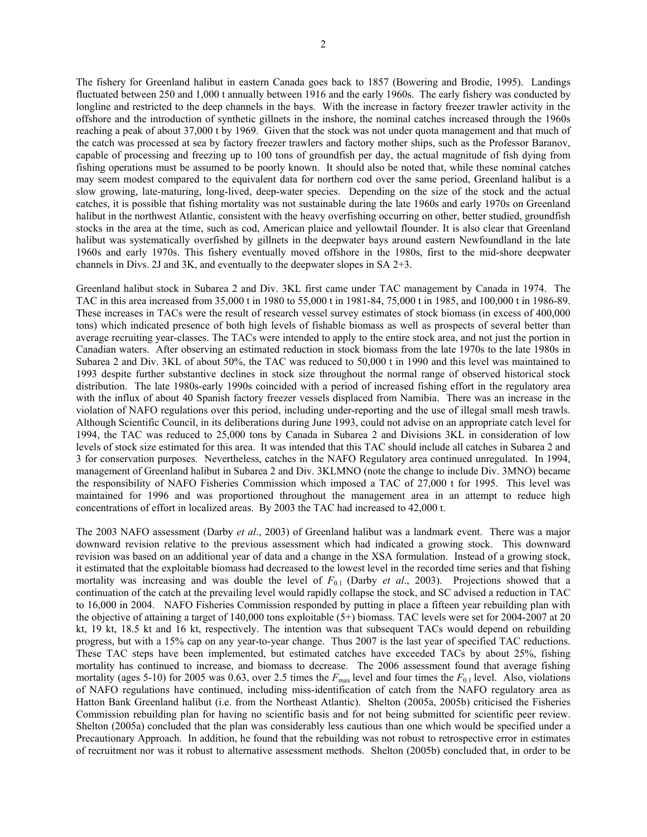The fishery for Greenland halibut in eastern Canada goes back to 1857 (Bowering and Brodie, 1995). Landings fluctuated between 250 and 1,000 t annually between 1916 and the early 1960s. The early fishery was conducted by longline and restricted to the deep channels in the bays. With the increase in factory freezer trawler activity in the offshore and the introduction of synthetic gillnets in the inshore, the nominal catches increased through the 1960s reaching a peak of about 37,000 t by 1969. Given that the stock was not under quota management and that much of the catch was processed at sea by factory freezer trawlers and factory mother ships, such as the Professor Baranov, capable of processing and freezing up to 100 tons of groundfish per day, the actual magnitude of fish dying from fishing operations must be assumed to be poorly known. It should also be noted that, while these nominal catches may seem modest compared to the equivalent data for northern cod over the same period, Greenland halibut is a slow growing, late-maturing, long-lived, deep-water species. Depending on the size of the stock and the actual catches, it is possible that fishing mortality was not sustainable during the late 1960s and early 1970s on Greenland halibut in the northwest Atlantic, consistent with the heavy overfishing occurring on other, better studied, groundfish stocks in the area at the time, such as cod, American plaice and yellowtail flounder. It is also clear that Greenland halibut was systematically overfished by gillnets in the deepwater bays around eastern Newfoundland in the late 1960s and early 1970s. This fishery eventually moved offshore in the 1980s, first to the mid-shore deepwater channels in Divs. 2J and 3K, and eventually to the deepwater slopes in SA 2+3.

Greenland halibut stock in Subarea 2 and Div. 3KL first came under TAC management by Canada in 1974. The TAC in this area increased from 35,000 t in 1980 to 55,000 t in 1981-84, 75,000 t in 1985, and 100,000 t in 1986-89. These increases in TACs were the result of research vessel survey estimates of stock biomass (in excess of 400,000 tons) which indicated presence of both high levels of fishable biomass as well as prospects of several better than average recruiting year-classes. The TACs were intended to apply to the entire stock area, and not just the portion in Canadian waters. After observing an estimated reduction in stock biomass from the late 1970s to the late 1980s in Subarea 2 and Div. 3KL of about 50%, the TAC was reduced to 50,000 t in 1990 and this level was maintained to 1993 despite further substantive declines in stock size throughout the normal range of observed historical stock distribution. The late 1980s-early 1990s coincided with a period of increased fishing effort in the regulatory area with the influx of about 40 Spanish factory freezer vessels displaced from Namibia. There was an increase in the violation of NAFO regulations over this period, including under-reporting and the use of illegal small mesh trawls. Although Scientific Council, in its deliberations during June 1993, could not advise on an appropriate catch level for 1994, the TAC was reduced to 25,000 tons by Canada in Subarea 2 and Divisions 3KL in consideration of low levels of stock size estimated for this area. It was intended that this TAC should include all catches in Subarea 2 and 3 for conservation purposes. Nevertheless, catches in the NAFO Regulatory area continued unregulated. In 1994, management of Greenland halibut in Subarea 2 and Div. 3KLMNO (note the change to include Div. 3MNO) became the responsibility of NAFO Fisheries Commission which imposed a TAC of 27,000 t for 1995. This level was maintained for 1996 and was proportioned throughout the management area in an attempt to reduce high concentrations of effort in localized areas. By 2003 the TAC had increased to 42,000 t.

The 2003 NAFO assessment (Darby *et al*., 2003) of Greenland halibut was a landmark event. There was a major downward revision relative to the previous assessment which had indicated a growing stock. This downward revision was based on an additional year of data and a change in the XSA formulation. Instead of a growing stock, it estimated that the exploitable biomass had decreased to the lowest level in the recorded time series and that fishing mortality was increasing and was double the level of  $F_{0.1}$  (Darby *et al.*, 2003). Projections showed that a continuation of the catch at the prevailing level would rapidly collapse the stock, and SC advised a reduction in TAC to 16,000 in 2004. NAFO Fisheries Commission responded by putting in place a fifteen year rebuilding plan with the objective of attaining a target of 140,000 tons exploitable (5+) biomass. TAC levels were set for 2004-2007 at 20 kt, 19 kt, 18.5 kt and 16 kt, respectively. The intention was that subsequent TACs would depend on rebuilding progress, but with a 15% cap on any year-to-year change. Thus 2007 is the last year of specified TAC reductions. These TAC steps have been implemented, but estimated catches have exceeded TACs by about 25%, fishing mortality has continued to increase, and biomass to decrease. The 2006 assessment found that average fishing mortality (ages 5-10) for 2005 was 0.63, over 2.5 times the  $F_{\text{max}}$  level and four times the  $F_{0.1}$  level. Also, violations of NAFO regulations have continued, including miss-identification of catch from the NAFO regulatory area as Hatton Bank Greenland halibut (i.e. from the Northeast Atlantic). Shelton (2005a, 2005b) criticised the Fisheries Commission rebuilding plan for having no scientific basis and for not being submitted for scientific peer review. Shelton (2005a) concluded that the plan was considerably less cautious than one which would be specified under a Precautionary Approach. In addition, he found that the rebuilding was not robust to retrospective error in estimates of recruitment nor was it robust to alternative assessment methods. Shelton (2005b) concluded that, in order to be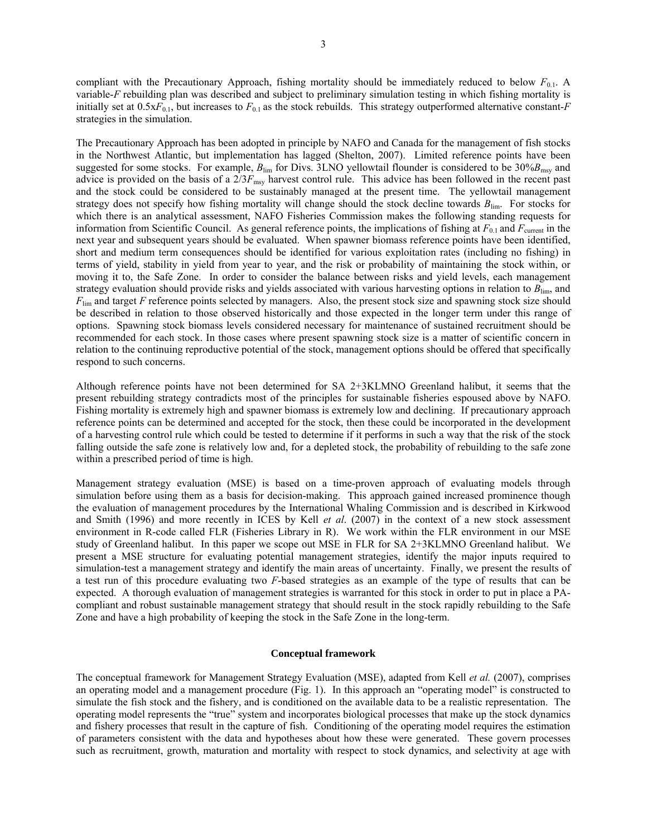compliant with the Precautionary Approach, fishing mortality should be immediately reduced to below  $F_{0,1}$ . A variable-*F* rebuilding plan was described and subject to preliminary simulation testing in which fishing mortality is initially set at  $0.5xF_{0.1}$ , but increases to  $F_{0.1}$  as the stock rebuilds. This strategy outperformed alternative constant-*F* strategies in the simulation.

The Precautionary Approach has been adopted in principle by NAFO and Canada for the management of fish stocks in the Northwest Atlantic, but implementation has lagged (Shelton, 2007). Limited reference points have been suggested for some stocks. For example,  $B_{\text{lim}}$  for Divs. 3LNO yellowtail flounder is considered to be 30% $B_{\text{msy}}$  and advice is provided on the basis of a  $2/3F_{\text{msy}}$  harvest control rule. This advice has been followed in the recent past and the stock could be considered to be sustainably managed at the present time. The yellowtail management strategy does not specify how fishing mortality will change should the stock decline towards *B*lim. For stocks for which there is an analytical assessment, NAFO Fisheries Commission makes the following standing requests for information from Scientific Council. As general reference points, the implications of fishing at  $F_{0.1}$  and  $F_{\text{current}}$  in the next year and subsequent years should be evaluated. When spawner biomass reference points have been identified, short and medium term consequences should be identified for various exploitation rates (including no fishing) in terms of yield, stability in yield from year to year, and the risk or probability of maintaining the stock within, or moving it to, the Safe Zone. In order to consider the balance between risks and yield levels, each management strategy evaluation should provide risks and yields associated with various harvesting options in relation to *B*lim, and *F*lim and target *F* reference points selected by managers. Also, the present stock size and spawning stock size should be described in relation to those observed historically and those expected in the longer term under this range of options. Spawning stock biomass levels considered necessary for maintenance of sustained recruitment should be recommended for each stock. In those cases where present spawning stock size is a matter of scientific concern in relation to the continuing reproductive potential of the stock, management options should be offered that specifically respond to such concerns.

Although reference points have not been determined for SA 2+3KLMNO Greenland halibut, it seems that the present rebuilding strategy contradicts most of the principles for sustainable fisheries espoused above by NAFO. Fishing mortality is extremely high and spawner biomass is extremely low and declining. If precautionary approach reference points can be determined and accepted for the stock, then these could be incorporated in the development of a harvesting control rule which could be tested to determine if it performs in such a way that the risk of the stock falling outside the safe zone is relatively low and, for a depleted stock, the probability of rebuilding to the safe zone within a prescribed period of time is high.

Management strategy evaluation (MSE) is based on a time-proven approach of evaluating models through simulation before using them as a basis for decision-making. This approach gained increased prominence though the evaluation of management procedures by the International Whaling Commission and is described in Kirkwood and Smith (1996) and more recently in ICES by Kell *et al*. (2007) in the context of a new stock assessment environment in R-code called FLR (Fisheries Library in R). We work within the FLR environment in our MSE study of Greenland halibut. In this paper we scope out MSE in FLR for SA 2+3KLMNO Greenland halibut. We present a MSE structure for evaluating potential management strategies, identify the major inputs required to simulation-test a management strategy and identify the main areas of uncertainty. Finally, we present the results of a test run of this procedure evaluating two *F*-based strategies as an example of the type of results that can be expected. A thorough evaluation of management strategies is warranted for this stock in order to put in place a PAcompliant and robust sustainable management strategy that should result in the stock rapidly rebuilding to the Safe Zone and have a high probability of keeping the stock in the Safe Zone in the long-term.

#### **Conceptual framework**

The conceptual framework for Management Strategy Evaluation (MSE), adapted from Kell *et al.* (2007), comprises an operating model and a management procedure (Fig. 1). In this approach an "operating model" is constructed to simulate the fish stock and the fishery, and is conditioned on the available data to be a realistic representation. The operating model represents the "true" system and incorporates biological processes that make up the stock dynamics and fishery processes that result in the capture of fish. Conditioning of the operating model requires the estimation of parameters consistent with the data and hypotheses about how these were generated. These govern processes such as recruitment, growth, maturation and mortality with respect to stock dynamics, and selectivity at age with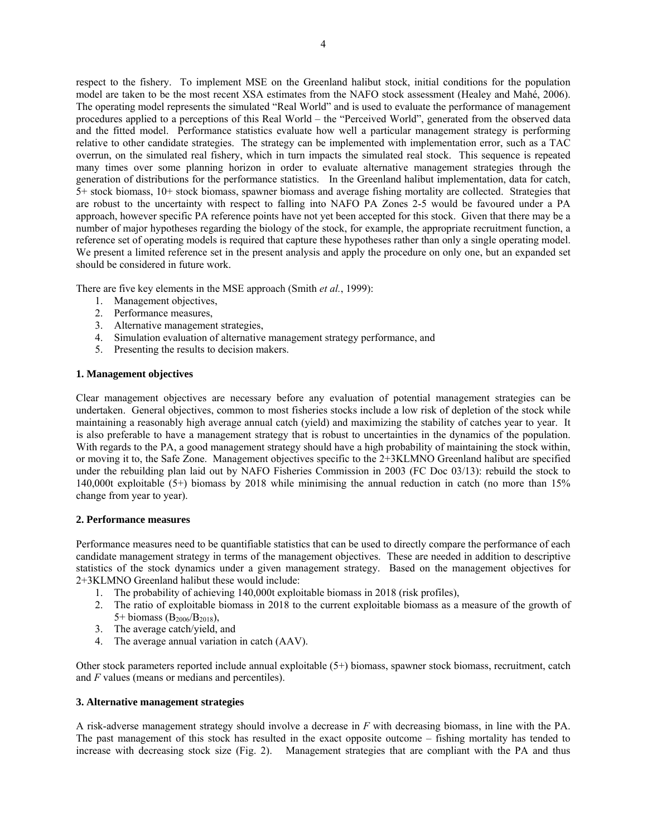respect to the fishery. To implement MSE on the Greenland halibut stock, initial conditions for the population model are taken to be the most recent XSA estimates from the NAFO stock assessment (Healey and Mahé, 2006). The operating model represents the simulated "Real World" and is used to evaluate the performance of management procedures applied to a perceptions of this Real World – the "Perceived World", generated from the observed data and the fitted model. Performance statistics evaluate how well a particular management strategy is performing relative to other candidate strategies. The strategy can be implemented with implementation error, such as a TAC overrun, on the simulated real fishery, which in turn impacts the simulated real stock. This sequence is repeated many times over some planning horizon in order to evaluate alternative management strategies through the generation of distributions for the performance statistics. In the Greenland halibut implementation, data for catch, 5+ stock biomass, 10+ stock biomass, spawner biomass and average fishing mortality are collected. Strategies that are robust to the uncertainty with respect to falling into NAFO PA Zones 2-5 would be favoured under a PA approach, however specific PA reference points have not yet been accepted for this stock. Given that there may be a number of major hypotheses regarding the biology of the stock, for example, the appropriate recruitment function, a reference set of operating models is required that capture these hypotheses rather than only a single operating model. We present a limited reference set in the present analysis and apply the procedure on only one, but an expanded set should be considered in future work.

There are five key elements in the MSE approach (Smith *et al.*, 1999):

- 1. Management objectives,
- 2. Performance measures,
- 3. Alternative management strategies,
- 4. Simulation evaluation of alternative management strategy performance, and
- 5. Presenting the results to decision makers.

## **1. Management objectives**

Clear management objectives are necessary before any evaluation of potential management strategies can be undertaken. General objectives, common to most fisheries stocks include a low risk of depletion of the stock while maintaining a reasonably high average annual catch (yield) and maximizing the stability of catches year to year. It is also preferable to have a management strategy that is robust to uncertainties in the dynamics of the population. With regards to the PA, a good management strategy should have a high probability of maintaining the stock within, or moving it to, the Safe Zone. Management objectives specific to the 2+3KLMNO Greenland halibut are specified under the rebuilding plan laid out by NAFO Fisheries Commission in 2003 (FC Doc 03/13): rebuild the stock to 140,000t exploitable (5+) biomass by 2018 while minimising the annual reduction in catch (no more than 15% change from year to year).

## **2. Performance measures**

Performance measures need to be quantifiable statistics that can be used to directly compare the performance of each candidate management strategy in terms of the management objectives. These are needed in addition to descriptive statistics of the stock dynamics under a given management strategy. Based on the management objectives for 2+3KLMNO Greenland halibut these would include:

- 1. The probability of achieving 140,000t exploitable biomass in 2018 (risk profiles),
- 2. The ratio of exploitable biomass in 2018 to the current exploitable biomass as a measure of the growth of 5+ biomass ( $B_{2006}/B_{2018}$ ),
- 3. The average catch/yield, and
- 4. The average annual variation in catch (AAV).

Other stock parameters reported include annual exploitable (5+) biomass, spawner stock biomass, recruitment, catch and *F* values (means or medians and percentiles).

## **3. Alternative management strategies**

A risk-adverse management strategy should involve a decrease in *F* with decreasing biomass, in line with the PA. The past management of this stock has resulted in the exact opposite outcome – fishing mortality has tended to increase with decreasing stock size (Fig. 2). Management strategies that are compliant with the PA and thus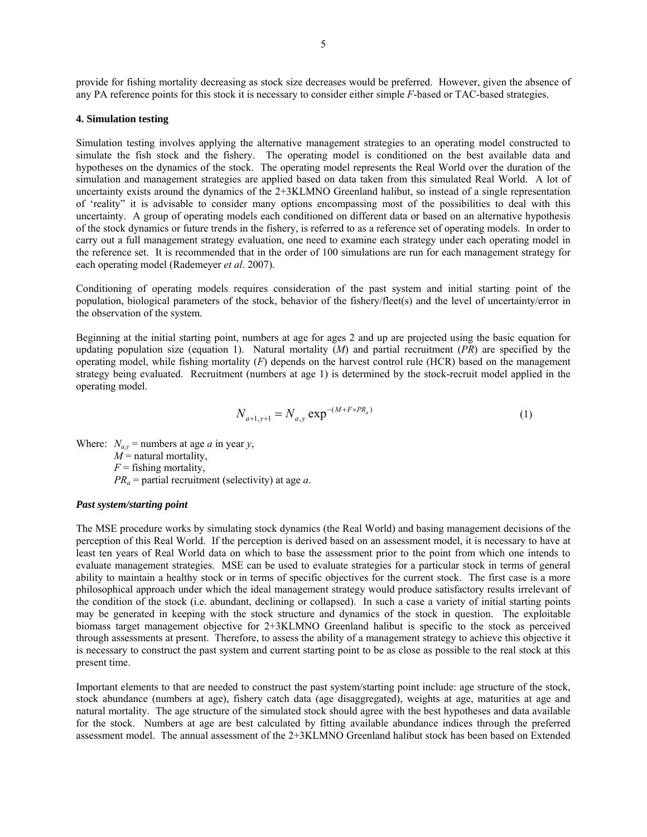provide for fishing mortality decreasing as stock size decreases would be preferred. However, given the absence of any PA reference points for this stock it is necessary to consider either simple *F*-based or TAC-based strategies.

## **4. Simulation testing**

Simulation testing involves applying the alternative management strategies to an operating model constructed to simulate the fish stock and the fishery. The operating model is conditioned on the best available data and hypotheses on the dynamics of the stock. The operating model represents the Real World over the duration of the simulation and management strategies are applied based on data taken from this simulated Real World. A lot of uncertainty exists around the dynamics of the 2+3KLMNO Greenland halibut, so instead of a single representation of 'reality" it is advisable to consider many options encompassing most of the possibilities to deal with this uncertainty. A group of operating models each conditioned on different data or based on an alternative hypothesis of the stock dynamics or future trends in the fishery, is referred to as a reference set of operating models. In order to carry out a full management strategy evaluation, one need to examine each strategy under each operating model in the reference set. It is recommended that in the order of 100 simulations are run for each management strategy for each operating model (Rademeyer *et al*. 2007).

Conditioning of operating models requires consideration of the past system and initial starting point of the population, biological parameters of the stock, behavior of the fishery/fleet(s) and the level of uncertainty/error in the observation of the system.

Beginning at the initial starting point, numbers at age for ages 2 and up are projected using the basic equation for updating population size (equation 1). Natural mortality (*M*) and partial recruitment (*PR*) are specified by the operating model, while fishing mortality (*F*) depends on the harvest control rule (HCR) based on the management strategy being evaluated. Recruitment (numbers at age 1) is determined by the stock-recruit model applied in the operating model.

$$
N_{a+1,y+1} = N_{a,y} \exp^{-(M+F \times PR_a)} \tag{1}
$$

Where:  $N_{a,y}$  = numbers at age *a* in year *y*,

 $M$  = natural mortality,

 $F =$  fishing mortality,

*PRa* = partial recruitment (selectivity) at age *a*.

#### *Past system/starting point*

The MSE procedure works by simulating stock dynamics (the Real World) and basing management decisions of the perception of this Real World. If the perception is derived based on an assessment model, it is necessary to have at least ten years of Real World data on which to base the assessment prior to the point from which one intends to evaluate management strategies. MSE can be used to evaluate strategies for a particular stock in terms of general ability to maintain a healthy stock or in terms of specific objectives for the current stock. The first case is a more philosophical approach under which the ideal management strategy would produce satisfactory results irrelevant of the condition of the stock (i.e. abundant, declining or collapsed). In such a case a variety of initial starting points may be generated in keeping with the stock structure and dynamics of the stock in question. The exploitable biomass target management objective for 2+3KLMNO Greenland halibut is specific to the stock as perceived through assessments at present. Therefore, to assess the ability of a management strategy to achieve this objective it is necessary to construct the past system and current starting point to be as close as possible to the real stock at this present time.

Important elements to that are needed to construct the past system/starting point include: age structure of the stock, stock abundance (numbers at age), fishery catch data (age disaggregated), weights at age, maturities at age and natural mortality. The age structure of the simulated stock should agree with the best hypotheses and data available for the stock. Numbers at age are best calculated by fitting available abundance indices through the preferred assessment model. The annual assessment of the 2+3KLMNO Greenland halibut stock has been based on Extended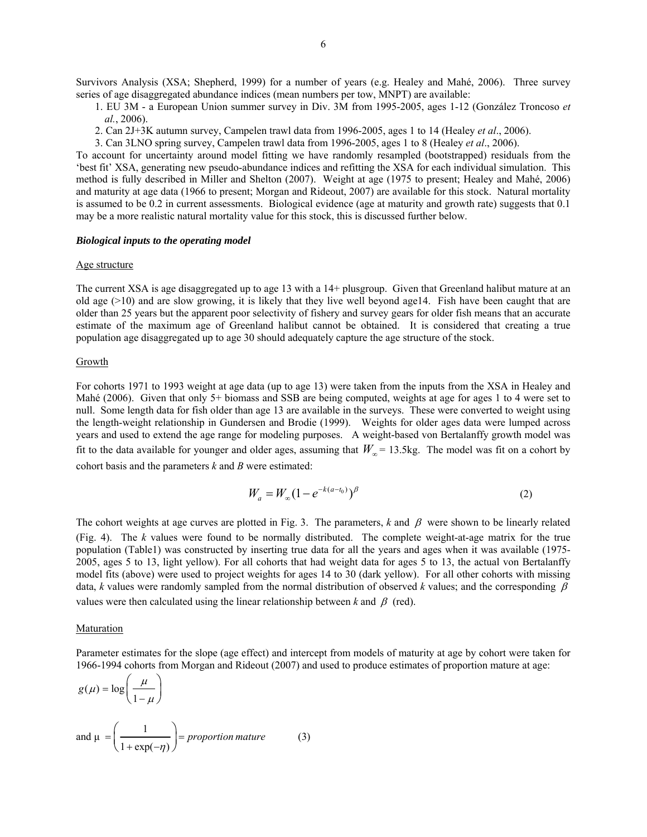Survivors Analysis (XSA; Shepherd, 1999) for a number of years (e.g. Healey and Mahé, 2006). Three survey series of age disaggregated abundance indices (mean numbers per tow, MNPT) are available:

1. EU 3M - a European Union summer survey in Div. 3M from 1995-2005, ages 1-12 (González Troncoso *et al.*, 2006).

2. Can 2J+3K autumn survey, Campelen trawl data from 1996-2005, ages 1 to 14 (Healey *et al*., 2006).

3. Can 3LNO spring survey, Campelen trawl data from 1996-2005, ages 1 to 8 (Healey *et al*., 2006).

To account for uncertainty around model fitting we have randomly resampled (bootstrapped) residuals from the 'best fit' XSA, generating new pseudo-abundance indices and refitting the XSA for each individual simulation. This method is fully described in Miller and Shelton (2007). Weight at age (1975 to present; Healey and Mahé, 2006) and maturity at age data (1966 to present; Morgan and Rideout, 2007) are available for this stock. Natural mortality is assumed to be 0.2 in current assessments. Biological evidence (age at maturity and growth rate) suggests that 0.1 may be a more realistic natural mortality value for this stock, this is discussed further below.

## *Biological inputs to the operating model*

#### Age structure

The current XSA is age disaggregated up to age 13 with a 14+ plusgroup. Given that Greenland halibut mature at an old age (>10) and are slow growing, it is likely that they live well beyond age14. Fish have been caught that are older than 25 years but the apparent poor selectivity of fishery and survey gears for older fish means that an accurate estimate of the maximum age of Greenland halibut cannot be obtained. It is considered that creating a true population age disaggregated up to age 30 should adequately capture the age structure of the stock.

#### Growth

For cohorts 1971 to 1993 weight at age data (up to age 13) were taken from the inputs from the XSA in Healey and Mahé (2006). Given that only 5+ biomass and SSB are being computed, weights at age for ages 1 to 4 were set to null. Some length data for fish older than age 13 are available in the surveys. These were converted to weight using the length-weight relationship in Gundersen and Brodie (1999). Weights for older ages data were lumped across years and used to extend the age range for modeling purposes. A weight-based von Bertalanffy growth model was fit to the data available for younger and older ages, assuming that  $W_{\infty}$  = 13.5kg. The model was fit on a cohort by cohort basis and the parameters *k* and *B* were estimated:

$$
W_a = W_{\infty} (1 - e^{-k(a - t_0)})^{\beta}
$$
 (2)

The cohort weights at age curves are plotted in Fig. 3. The parameters,  $k$  and  $\beta$  were shown to be linearly related (Fig. 4). The *k* values were found to be normally distributed. The complete weight-at-age matrix for the true population (Table1) was constructed by inserting true data for all the years and ages when it was available (1975- 2005, ages 5 to 13, light yellow). For all cohorts that had weight data for ages 5 to 13, the actual von Bertalanffy model fits (above) were used to project weights for ages 14 to 30 (dark yellow). For all other cohorts with missing data, *k* values were randomly sampled from the normal distribution of observed *k* values; and the corresponding  $\beta$ values were then calculated using the linear relationship between  $k$  and  $\beta$  (red).

## Maturation

Parameter estimates for the slope (age effect) and intercept from models of maturity at age by cohort were taken for 1966-1994 cohorts from Morgan and Rideout (2007) and used to produce estimates of proportion mature at age:

$$
g(\mu) = \log\left(\frac{\mu}{1-\mu}\right)
$$
  
and  $\mu = \left(\frac{1}{1+\exp(-\eta)}\right) = proportion mature$  (3)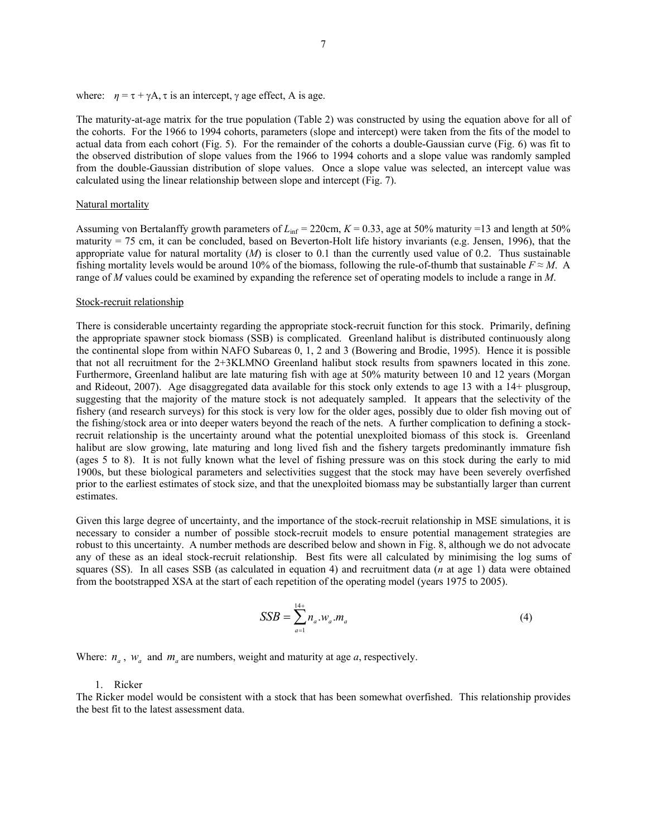where:  $\eta = \tau + \gamma A$ ,  $\tau$  is an intercept,  $\gamma$  age effect, A is age.

The maturity-at-age matrix for the true population (Table 2) was constructed by using the equation above for all of the cohorts. For the 1966 to 1994 cohorts, parameters (slope and intercept) were taken from the fits of the model to actual data from each cohort (Fig. 5). For the remainder of the cohorts a double-Gaussian curve (Fig. 6) was fit to the observed distribution of slope values from the 1966 to 1994 cohorts and a slope value was randomly sampled from the double-Gaussian distribution of slope values. Once a slope value was selected, an intercept value was calculated using the linear relationship between slope and intercept (Fig. 7).

#### Natural mortality

Assuming von Bertalanffy growth parameters of  $L_{\text{inf}} = 220 \text{cm}$ ,  $K = 0.33$ , age at 50% maturity =13 and length at 50% maturity = 75 cm, it can be concluded, based on Beverton-Holt life history invariants (e.g. Jensen, 1996), that the appropriate value for natural mortality  $(M)$  is closer to 0.1 than the currently used value of 0.2. Thus sustainable fishing mortality levels would be around 10% of the biomass, following the rule-of-thumb that sustainable  $F \approx M$ . A range of *M* values could be examined by expanding the reference set of operating models to include a range in *M*.

## Stock-recruit relationship

There is considerable uncertainty regarding the appropriate stock-recruit function for this stock. Primarily, defining the appropriate spawner stock biomass (SSB) is complicated. Greenland halibut is distributed continuously along the continental slope from within NAFO Subareas 0, 1, 2 and 3 (Bowering and Brodie, 1995). Hence it is possible that not all recruitment for the 2+3KLMNO Greenland halibut stock results from spawners located in this zone. Furthermore, Greenland halibut are late maturing fish with age at 50% maturity between 10 and 12 years (Morgan and Rideout, 2007). Age disaggregated data available for this stock only extends to age 13 with a 14+ plusgroup, suggesting that the majority of the mature stock is not adequately sampled. It appears that the selectivity of the fishery (and research surveys) for this stock is very low for the older ages, possibly due to older fish moving out of the fishing/stock area or into deeper waters beyond the reach of the nets. A further complication to defining a stockrecruit relationship is the uncertainty around what the potential unexploited biomass of this stock is. Greenland halibut are slow growing, late maturing and long lived fish and the fishery targets predominantly immature fish (ages 5 to 8). It is not fully known what the level of fishing pressure was on this stock during the early to mid 1900s, but these biological parameters and selectivities suggest that the stock may have been severely overfished prior to the earliest estimates of stock size, and that the unexploited biomass may be substantially larger than current estimates.

Given this large degree of uncertainty, and the importance of the stock-recruit relationship in MSE simulations, it is necessary to consider a number of possible stock-recruit models to ensure potential management strategies are robust to this uncertainty. A number methods are described below and shown in Fig. 8, although we do not advocate any of these as an ideal stock-recruit relationship. Best fits were all calculated by minimising the log sums of squares (SS). In all cases SSB (as calculated in equation 4) and recruitment data (*n* at age 1) data were obtained from the bootstrapped XSA at the start of each repetition of the operating model (years 1975 to 2005).

$$
SSB = \sum_{a=1}^{14+} n_a w_a \cdot m_a \tag{4}
$$

Where:  $n_a$ ,  $w_a$  and  $m_a$  are numbers, weight and maturity at age  $a$ , respectively.

#### 1. Ricker

The Ricker model would be consistent with a stock that has been somewhat overfished. This relationship provides the best fit to the latest assessment data.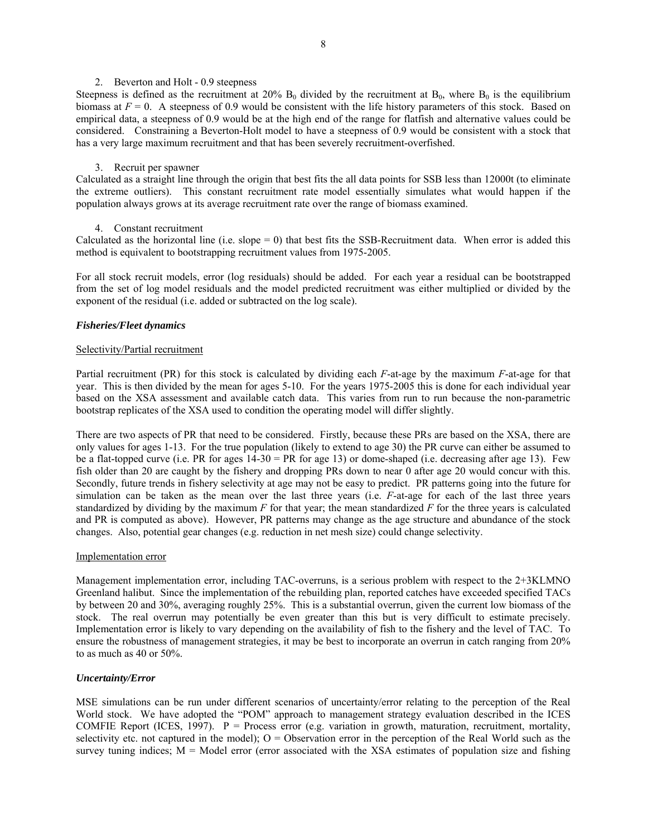## 2. Beverton and Holt - 0.9 steepness

Steepness is defined as the recruitment at 20%  $B_0$  divided by the recruitment at  $B_0$ , where  $B_0$  is the equilibrium biomass at  $F = 0$ . A steepness of 0.9 would be consistent with the life history parameters of this stock. Based on empirical data, a steepness of 0.9 would be at the high end of the range for flatfish and alternative values could be considered. Constraining a Beverton-Holt model to have a steepness of 0.9 would be consistent with a stock that has a very large maximum recruitment and that has been severely recruitment-overfished.

# 3. Recruit per spawner

Calculated as a straight line through the origin that best fits the all data points for SSB less than 12000t (to eliminate the extreme outliers). This constant recruitment rate model essentially simulates what would happen if the population always grows at its average recruitment rate over the range of biomass examined.

## 4. Constant recruitment

Calculated as the horizontal line (i.e. slope  $= 0$ ) that best fits the SSB-Recruitment data. When error is added this method is equivalent to bootstrapping recruitment values from 1975-2005.

For all stock recruit models, error (log residuals) should be added. For each year a residual can be bootstrapped from the set of log model residuals and the model predicted recruitment was either multiplied or divided by the exponent of the residual (i.e. added or subtracted on the log scale).

## *Fisheries/Fleet dynamics*

## Selectivity/Partial recruitment

Partial recruitment (PR) for this stock is calculated by dividing each *F*-at-age by the maximum *F*-at-age for that year. This is then divided by the mean for ages 5-10. For the years 1975-2005 this is done for each individual year based on the XSA assessment and available catch data. This varies from run to run because the non-parametric bootstrap replicates of the XSA used to condition the operating model will differ slightly.

There are two aspects of PR that need to be considered. Firstly, because these PRs are based on the XSA, there are only values for ages 1-13. For the true population (likely to extend to age 30) the PR curve can either be assumed to be a flat-topped curve (i.e. PR for ages 14-30 = PR for age 13) or dome-shaped (i.e. decreasing after age 13). Few fish older than 20 are caught by the fishery and dropping PRs down to near 0 after age 20 would concur with this. Secondly, future trends in fishery selectivity at age may not be easy to predict. PR patterns going into the future for simulation can be taken as the mean over the last three years (i.e. *F*-at-age for each of the last three years standardized by dividing by the maximum  $F$  for that year; the mean standardized  $F$  for the three years is calculated and PR is computed as above). However, PR patterns may change as the age structure and abundance of the stock changes. Also, potential gear changes (e.g. reduction in net mesh size) could change selectivity.

#### Implementation error

Management implementation error, including TAC-overruns, is a serious problem with respect to the 2+3KLMNO Greenland halibut. Since the implementation of the rebuilding plan, reported catches have exceeded specified TACs by between 20 and 30%, averaging roughly 25%. This is a substantial overrun, given the current low biomass of the stock. The real overrun may potentially be even greater than this but is very difficult to estimate precisely. Implementation error is likely to vary depending on the availability of fish to the fishery and the level of TAC. To ensure the robustness of management strategies, it may be best to incorporate an overrun in catch ranging from 20% to as much as 40 or 50%.

## *Uncertainty/Error*

MSE simulations can be run under different scenarios of uncertainty/error relating to the perception of the Real World stock. We have adopted the "POM" approach to management strategy evaluation described in the ICES COMFIE Report (ICES, 1997). P = Process error (e.g. variation in growth, maturation, recruitment, mortality, selectivity etc. not captured in the model);  $O =$  Observation error in the perception of the Real World such as the survey tuning indices;  $M =$  Model error (error associated with the XSA estimates of population size and fishing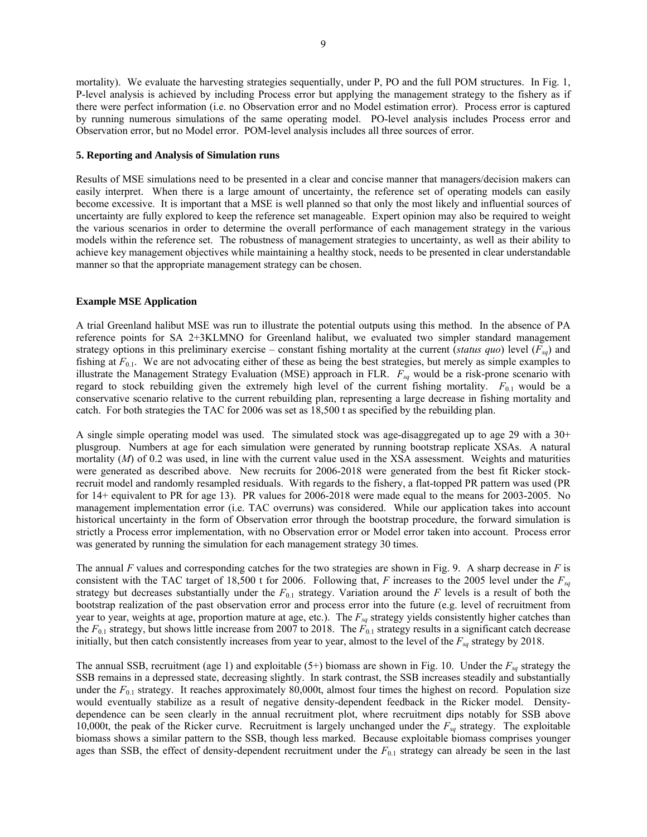mortality). We evaluate the harvesting strategies sequentially, under P, PO and the full POM structures. In Fig. 1,

P-level analysis is achieved by including Process error but applying the management strategy to the fishery as if there were perfect information (i.e. no Observation error and no Model estimation error). Process error is captured by running numerous simulations of the same operating model. PO-level analysis includes Process error and Observation error, but no Model error. POM-level analysis includes all three sources of error.

# **5. Reporting and Analysis of Simulation runs**

Results of MSE simulations need to be presented in a clear and concise manner that managers/decision makers can easily interpret. When there is a large amount of uncertainty, the reference set of operating models can easily become excessive. It is important that a MSE is well planned so that only the most likely and influential sources of uncertainty are fully explored to keep the reference set manageable. Expert opinion may also be required to weight the various scenarios in order to determine the overall performance of each management strategy in the various models within the reference set. The robustness of management strategies to uncertainty, as well as their ability to achieve key management objectives while maintaining a healthy stock, needs to be presented in clear understandable manner so that the appropriate management strategy can be chosen.

# **Example MSE Application**

A trial Greenland halibut MSE was run to illustrate the potential outputs using this method. In the absence of PA reference points for SA 2+3KLMNO for Greenland halibut, we evaluated two simpler standard management strategy options in this preliminary exercise – constant fishing mortality at the current (*status quo*) level (*Fsq*) and fishing at  $F_{0,1}$ . We are not advocating either of these as being the best strategies, but merely as simple examples to illustrate the Management Strategy Evaluation (MSE) approach in FLR.  $F_{sq}$  would be a risk-prone scenario with regard to stock rebuilding given the extremely high level of the current fishing mortality. *F*0.1 would be a conservative scenario relative to the current rebuilding plan, representing a large decrease in fishing mortality and catch. For both strategies the TAC for 2006 was set as 18,500 t as specified by the rebuilding plan.

A single simple operating model was used. The simulated stock was age-disaggregated up to age 29 with a  $30<sup>+</sup>$ plusgroup. Numbers at age for each simulation were generated by running bootstrap replicate XSAs. A natural mortality (*M*) of 0.2 was used, in line with the current value used in the XSA assessment. Weights and maturities were generated as described above. New recruits for 2006-2018 were generated from the best fit Ricker stockrecruit model and randomly resampled residuals. With regards to the fishery, a flat-topped PR pattern was used (PR for 14+ equivalent to PR for age 13). PR values for 2006-2018 were made equal to the means for 2003-2005. No management implementation error (i.e. TAC overruns) was considered. While our application takes into account historical uncertainty in the form of Observation error through the bootstrap procedure, the forward simulation is strictly a Process error implementation, with no Observation error or Model error taken into account. Process error was generated by running the simulation for each management strategy 30 times.

The annual *F* values and corresponding catches for the two strategies are shown in Fig. 9. A sharp decrease in *F* is consistent with the TAC target of 18,500 t for 2006. Following that, *F* increases to the 2005 level under the  $F_{sq}$ strategy but decreases substantially under the  $F_{0.1}$  strategy. Variation around the  $F$  levels is a result of both the bootstrap realization of the past observation error and process error into the future (e.g. level of recruitment from year to year, weights at age, proportion mature at age, etc.). The  $F_{sq}$  strategy yields consistently higher catches than the  $F_{0.1}$  strategy, but shows little increase from 2007 to 2018. The  $F_{0.1}$  strategy results in a significant catch decrease initially, but then catch consistently increases from year to year, almost to the level of the  $F_{sq}$  strategy by 2018.

The annual SSB, recruitment (age 1) and exploitable  $(5+)$  biomass are shown in Fig. 10. Under the  $F_{sq}$  strategy the SSB remains in a depressed state, decreasing slightly. In stark contrast, the SSB increases steadily and substantially under the  $F_{0.1}$  strategy. It reaches approximately 80,000t, almost four times the highest on record. Population size would eventually stabilize as a result of negative density-dependent feedback in the Ricker model. Densitydependence can be seen clearly in the annual recruitment plot, where recruitment dips notably for SSB above 10,000t, the peak of the Ricker curve. Recruitment is largely unchanged under the  $F_{sg}$  strategy. The exploitable biomass shows a similar pattern to the SSB, though less marked. Because exploitable biomass comprises younger ages than SSB, the effect of density-dependent recruitment under the  $F_{0,1}$  strategy can already be seen in the last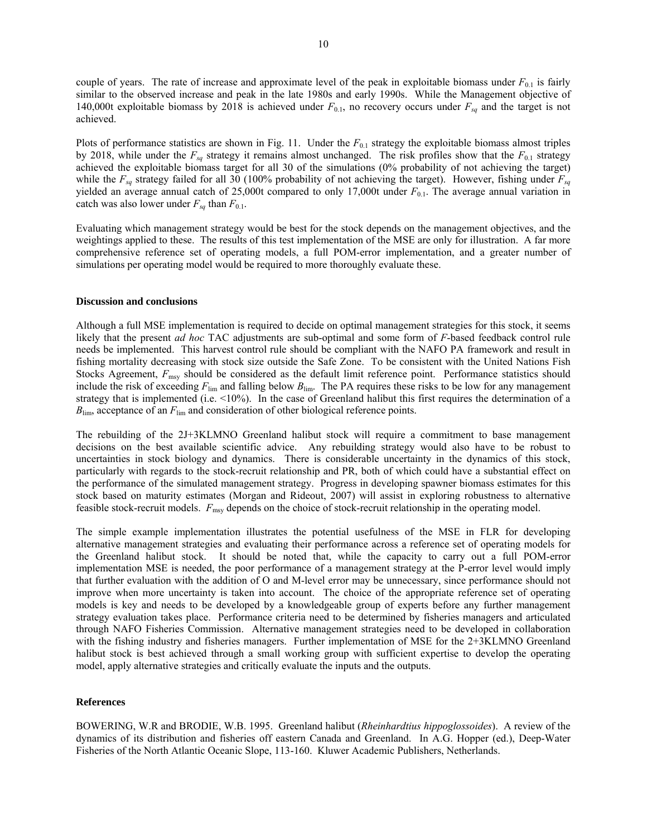couple of years. The rate of increase and approximate level of the peak in exploitable biomass under  $F_{0,1}$  is fairly similar to the observed increase and peak in the late 1980s and early 1990s. While the Management objective of 140,000t exploitable biomass by 2018 is achieved under  $F_{0.1}$ , no recovery occurs under  $F_{sq}$  and the target is not achieved.

Plots of performance statistics are shown in Fig. 11. Under the  $F_{0,1}$  strategy the exploitable biomass almost triples by 2018, while under the  $F_{sq}$  strategy it remains almost unchanged. The risk profiles show that the  $F_{0,1}$  strategy achieved the exploitable biomass target for all 30 of the simulations (0% probability of not achieving the target) while the  $F_{sq}$  strategy failed for all 30 (100% probability of not achieving the target). However, fishing under  $F_{sq}$ yielded an average annual catch of 25,000t compared to only 17,000t under  $F_{0.1}$ . The average annual variation in catch was also lower under  $F_{sq}$  than  $F_{0.1}$ .

Evaluating which management strategy would be best for the stock depends on the management objectives, and the weightings applied to these. The results of this test implementation of the MSE are only for illustration. A far more comprehensive reference set of operating models, a full POM-error implementation, and a greater number of simulations per operating model would be required to more thoroughly evaluate these.

#### **Discussion and conclusions**

Although a full MSE implementation is required to decide on optimal management strategies for this stock, it seems likely that the present *ad hoc* TAC adjustments are sub-optimal and some form of *F*-based feedback control rule needs be implemented. This harvest control rule should be compliant with the NAFO PA framework and result in fishing mortality decreasing with stock size outside the Safe Zone. To be consistent with the United Nations Fish Stocks Agreement,  $F_{\text{msy}}$  should be considered as the default limit reference point. Performance statistics should include the risk of exceeding  $F_{\text{lim}}$  and falling below  $B_{\text{lim}}$ . The PA requires these risks to be low for any management strategy that is implemented (i.e. <10%). In the case of Greenland halibut this first requires the determination of a *B*<sub>lim</sub>, acceptance of an *F*<sub>lim</sub> and consideration of other biological reference points.

The rebuilding of the 2J+3KLMNO Greenland halibut stock will require a commitment to base management decisions on the best available scientific advice. Any rebuilding strategy would also have to be robust to uncertainties in stock biology and dynamics. There is considerable uncertainty in the dynamics of this stock, particularly with regards to the stock-recruit relationship and PR, both of which could have a substantial effect on the performance of the simulated management strategy. Progress in developing spawner biomass estimates for this stock based on maturity estimates (Morgan and Rideout, 2007) will assist in exploring robustness to alternative feasible stock-recruit models. *F*msy depends on the choice of stock-recruit relationship in the operating model.

The simple example implementation illustrates the potential usefulness of the MSE in FLR for developing alternative management strategies and evaluating their performance across a reference set of operating models for the Greenland halibut stock. It should be noted that, while the capacity to carry out a full POM-error implementation MSE is needed, the poor performance of a management strategy at the P-error level would imply that further evaluation with the addition of O and M-level error may be unnecessary, since performance should not improve when more uncertainty is taken into account. The choice of the appropriate reference set of operating models is key and needs to be developed by a knowledgeable group of experts before any further management strategy evaluation takes place. Performance criteria need to be determined by fisheries managers and articulated through NAFO Fisheries Commission. Alternative management strategies need to be developed in collaboration with the fishing industry and fisheries managers. Further implementation of MSE for the 2+3KLMNO Greenland halibut stock is best achieved through a small working group with sufficient expertise to develop the operating model, apply alternative strategies and critically evaluate the inputs and the outputs.

#### **References**

BOWERING, W.R and BRODIE, W.B. 1995. Greenland halibut (*Rheinhardtius hippoglossoides*). A review of the dynamics of its distribution and fisheries off eastern Canada and Greenland. In A.G. Hopper (ed.), Deep-Water Fisheries of the North Atlantic Oceanic Slope, 113-160. Kluwer Academic Publishers, Netherlands.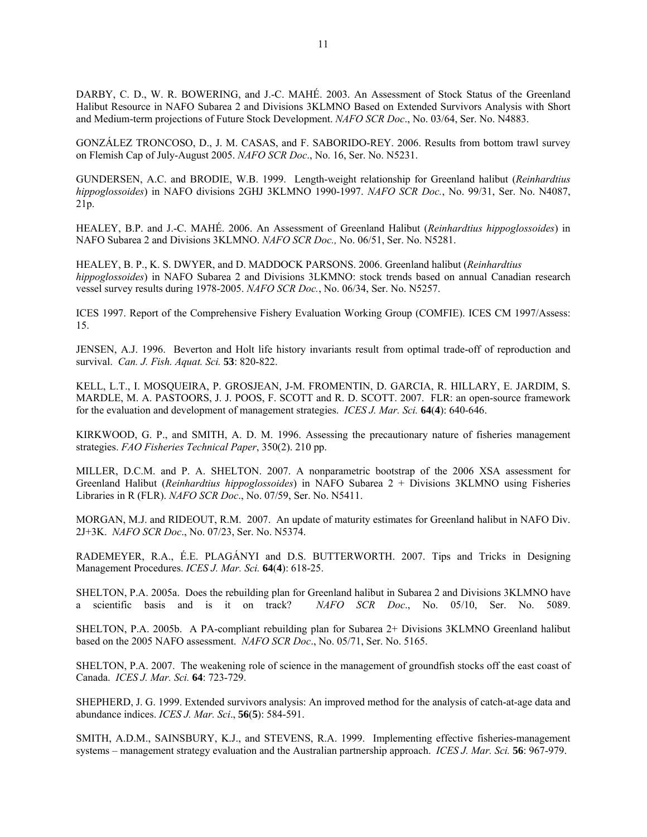DARBY, C. D., W. R. BOWERING, and J.-C. MAHÉ. 2003. An Assessment of Stock Status of the Greenland Halibut Resource in NAFO Subarea 2 and Divisions 3KLMNO Based on Extended Survivors Analysis with Short and Medium-term projections of Future Stock Development. *NAFO SCR Doc*., No. 03/64, Ser. No. N4883.

GONZÁLEZ TRONCOSO, D., J. M. CASAS, and F. SABORIDO-REY. 2006. Results from bottom trawl survey on Flemish Cap of July-August 2005. *NAFO SCR Doc*., No. 16, Ser. No. N5231.

GUNDERSEN, A.C. and BRODIE, W.B. 1999. Length-weight relationship for Greenland halibut (*Reinhardtius hippoglossoides*) in NAFO divisions 2GHJ 3KLMNO 1990-1997. *NAFO SCR Doc.*, No. 99/31, Ser. No. N4087, 21p.

HEALEY, B.P. and J.-C. MAHÉ. 2006. An Assessment of Greenland Halibut (*Reinhardtius hippoglossoides*) in NAFO Subarea 2 and Divisions 3KLMNO. *NAFO SCR Doc.,* No. 06/51, Ser. No. N5281.

HEALEY, B. P., K. S. DWYER, and D. MADDOCK PARSONS. 2006. Greenland halibut (*Reinhardtius hippoglossoides*) in NAFO Subarea 2 and Divisions 3LKMNO: stock trends based on annual Canadian research vessel survey results during 1978-2005. *NAFO SCR Doc.*, No. 06/34, Ser. No. N5257.

ICES 1997. Report of the Comprehensive Fishery Evaluation Working Group (COMFIE). ICES CM 1997/Assess: 15.

JENSEN, A.J. 1996. Beverton and Holt life history invariants result from optimal trade-off of reproduction and survival. *Can. J. Fish. Aquat. Sci.* **53**: 820-822.

KELL, L.T., I. MOSQUEIRA, P. GROSJEAN, J-M. FROMENTIN, D. GARCIA, R. HILLARY, E. JARDIM, S. MARDLE, M. A. PASTOORS, J. J. POOS, F. SCOTT and R. D. SCOTT. 2007. FLR: an open-source framework for the evaluation and development of management strategies. *ICES J. Mar. Sci.* **64**(**4**): 640-646.

KIRKWOOD, G. P., and SMITH, A. D. M. 1996. Assessing the precautionary nature of fisheries management strategies. *FAO Fisheries Technical Paper*, 350(2). 210 pp.

MILLER, D.C.M. and P. A. SHELTON. 2007. A nonparametric bootstrap of the 2006 XSA assessment for Greenland Halibut (*Reinhardtius hippoglossoides*) in NAFO Subarea 2 + Divisions 3KLMNO using Fisheries Libraries in R (FLR). *NAFO SCR Doc*., No. 07/59, Ser. No. N5411.

MORGAN, M.J. and RIDEOUT, R.M. 2007. An update of maturity estimates for Greenland halibut in NAFO Div. 2J+3K. *NAFO SCR Doc*., No. 07/23, Ser. No. N5374.

RADEMEYER, R.A., É.E. PLAGÁNYI and D.S. BUTTERWORTH. 2007. Tips and Tricks in Designing Management Procedures. *ICES J. Mar. Sci.* **64**(**4**): 618-25.

SHELTON, P.A. 2005a. Does the rebuilding plan for Greenland halibut in Subarea 2 and Divisions 3KLMNO have a scientific basis and is it on track? *NAFO SCR Doc*., No. 05/10, Ser. No. 5089.

SHELTON, P.A. 2005b. A PA-compliant rebuilding plan for Subarea 2+ Divisions 3KLMNO Greenland halibut based on the 2005 NAFO assessment. *NAFO SCR Doc*., No. 05/71, Ser. No. 5165.

SHELTON, P.A. 2007. The weakening role of science in the management of groundfish stocks off the east coast of Canada. *ICES J. Mar. Sci.* **64**: 723-729.

SHEPHERD, J. G. 1999. Extended survivors analysis: An improved method for the analysis of catch-at-age data and abundance indices. *ICES J. Mar. Sci*., **56**(**5**): 584-591.

SMITH, A.D.M., SAINSBURY, K.J., and STEVENS, R.A. 1999. Implementing effective fisheries-management systems – management strategy evaluation and the Australian partnership approach. *ICES J. Mar. Sci.* **56**: 967-979.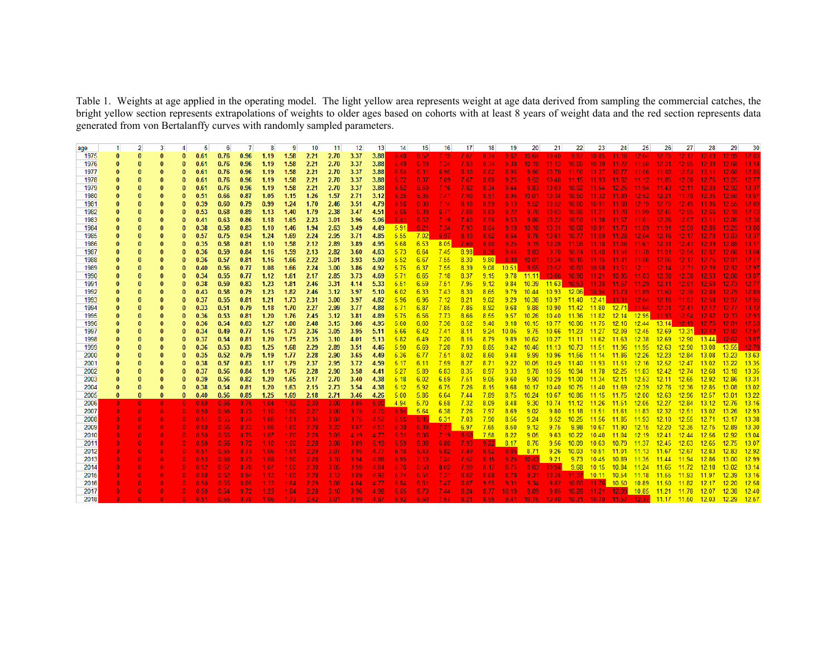Table 1. Weights at age applied in the operating model. The light yellow area represents weight at age data derived from sampling the commercial catches, the bright yellow section represents extrapolations of weights to older ages based on cohorts with at least 8 years of weight data and the red section represents data generated from von Bertalanffy curves with randomly sampled parameters.

| age  |              |              |              |          | 5    | 6    |      |      |       | 10   | 11   | 12                | 13   | 14   | 15   | 16      | 17                | 18    | 19                | 20           | 21                                                    | 22        | 23                                              | 24                | 25            | 26       |                         | 28              |                                                                        | 30       |
|------|--------------|--------------|--------------|----------|------|------|------|------|-------|------|------|-------------------|------|------|------|---------|-------------------|-------|-------------------|--------------|-------------------------------------------------------|-----------|-------------------------------------------------|-------------------|---------------|----------|-------------------------|-----------------|------------------------------------------------------------------------|----------|
| 1975 | $\Omega$     |              |              |          | 0.61 | 0.76 | 0.96 | 1.19 | 1.58  | 2.21 | 2.70 | 3.37              | 3.88 | 5.40 | 6.52 | 7.19    | 7.67              | 8.74  | 9.62              | 10.64        | 10.40                                                 | 9.97      | 10.85                                           | 11.16             | 12.04         | 12.75    |                         | 12.49           |                                                                        |          |
| 1976 | $\bf{0}$     |              |              | 0        | 0.61 | 0.76 | 0.96 | 1.19 | 1.58  | 2.21 | 2.70 | 3.37              | 3.88 | 5.49 | 6.19 | 7.34    | 7.93              | -8.34 | 9.38              | 10.19        | $-11.13$                                              | 10.86     | 10.39                                           | $11.22 -$         | 11.50         | 12.31    | 12.95                   | 12.39           |                                                                        |          |
| 1977 |              |              |              |          | 0.61 | 0.76 | 0.96 | 1.19 | 1.58  | 2.21 | 2.70 | 3.37              | 3.88 | 5.54 | 6.31 | 6.95    | 8.10              | 8.62  | 8.95              | 9.95         | 10.70                                                 | 11.56     | 11.27                                           | 10.77             | 11.56         | 11.80    | 12.54                   | 13.11           |                                                                        |          |
| 1978 |              |              |              |          | 0.61 | 0.76 | 0.96 | 1.19 | 1.58  | 2.21 | 2.70 | 3.37              | 3.88 | 5.72 | 6.37 | 7.09    | 7.67.             | 8.80  | 9.25              | 9.52         | 10.46                                                 | $11.15 -$ | 11.93                                           | 11.62             | 11.12         | $-11.85$ | 12.06                   | 12.75           |                                                                        |          |
| 1979 |              |              |              | O        | 0.61 | 0.76 | 0.96 | 1.19 | 1.58  | 2.21 | 2.70 | 3.37              | 3.88 | 5.52 | 6.59 | 7.16    | 7.82              | 8.34  | 9.44              | 9.83         |                                                       |           | 10.03 10.92 11.54 12.25                         |                   |               |          | 11.94 11.43 12.11 12.30 |                 |                                                                        |          |
| 1980 |              |              |              | O        | 0.51 | 0.66 | 0.87 | 1.05 | 1.15  | 1.26 | 1.57 | 2.71              | 3.12 | 5.25 | 6.35 | 7.41    | 7.90.             | 8.51  | 8.95              | 10.01        | 10.34                                                 | 10.50     | 11.32 <sub>1</sub>                              | 11.89             | 12.52         | 12.21    | 11.70                   | 12.35           |                                                                        | 13.07    |
| 1981 |              |              |              | O        | 0.39 | 0.60 | 0.79 | 0.99 | 1.24  | 1.70 | 2.46 | 3.51              | 4.79 | 5.56 | 6.00 | 7.14    | 8.18              | 8.59  | 9.13              | 9.52         | 10.52                                                 | 10.80     | $10.91 -$                                       | 11.68             | 12.19         | 12.75    | 12.45                   | 11.96           | 12.55                                                                  |          |
| 1982 |              |              |              | O        | 0.53 | 0.68 | 0.89 | 1.13 | 1.40  | 1.79 | 2.38 | 3.47              | 4.51 | 5.66 | 6.39 | 6.71    | 7.88              | 8.89  | 9.22              | 9.70         |                                                       |           | 10.03 10.98 11.21 11.28 11.99 12.45             |                   |               |          | 12.95                   | 12.66           |                                                                        |          |
| 1983 |              |              |              | O        | 0.41 | 0.63 | 0.86 | 1.18 | 1.65  | 2.23 | 3.01 | 3.96              | 5.06 | 5.41 | 6.52 | 7.19    | 7.40              | 8.56  | 9.53 <sub>1</sub> | 9.80         | 10.22                                                 | $10.50 -$ | 11.38                                           | 11.57             | 11.61         | 12.26    | 12.67                   | 13.11           |                                                                        |          |
| 1984 |              |              |              |          | 0.38 | 0.58 | 0.83 | 1.10 | 1.46  | 1.94 | 2.63 | 3.49              | 4.49 | 5.91 | 6.21 | 7.34    | 7.93              | 8.04  | 9.19              | 10.10        | 10.31                                                 | 10.68     | 10.91                                           | 11.73             | 11.89 11.91   |          | 12.50                   | 12.86           |                                                                        |          |
| 1985 |              |              |              | O        | 0.57 | 0.75 | 0.94 | 1.24 | 1.69  | 2.24 | 2.95 | 3.71              | 4.85 | 5.55 | 7.02 | 6.97    | 8.10              | 8.62  | 8.64              |              | 9.76 10.61 10.77 11.09 11.28 12.04 12.16 12.17 12.70  |           |                                                 |                   |               |          |                         |                 |                                                                        |          |
| 1986 |              |              |              | 0        | 0.35 | 0.58 | 0.81 | 1.10 | 1.58  | 2.12 | 2.89 | 3.89              | 4.95 | 5.68 | 6.53 | 8.05    | 7.69              | 8.80  | 9.25              | 9.19         | 10.28                                                 | 11.06     | 11.18                                           | 11.46             | 11.61         | 12.31    | 12.41                   | 12.39           |                                                                        | 13.17    |
| 1987 |              |              |              | O        | 0.36 | 0.59 | 0.84 | 1.16 | 1.59  | 2.13 | 2.82 | 3.60              | 4.63 | 5.73 | 6.64 | 7.45    | 8.98              | 8.36  | 9.44              | 9.83         | 9.70                                                  |           | 10.74 11.46 11.54 11.78                         |                   |               | $-11.91$ | 12.54                   | 12.62           | 12.60                                                                  | 13.04    |
| 1988 |              |              |              |          | 0.36 | 0.57 | 0.81 | 1.16 | 1.66  | 2.22 | 3.01 | 3.93              | 5.09 | 5.52 | 6.67 | 7.55    | 8.30              | 9.80  | 8.98              |              | 10.01 10.34 10.16 11.15 11.81 11.86 12.06 12.17 12.75 |           |                                                 |                   |               |          |                         |                 |                                                                        |          |
| 1989 |              |              |              | O        | 0.40 | 0.56 | 0.77 | 1.08 | 1.66  | 2.24 | 3.00 | 3.86              | 4.92 | 5.75 | 6.37 | 7.55    | 8.39              | 9.08  | 10.51             | 9.55         | 10.52                                                 |           | $10.80$ $10.58$                                 | 11.51             | 12.11         | $-12.14$ | 12.31                   | 12.39           |                                                                        |          |
| 1990 |              |              |              |          | 0.34 | 0.55 | 0.77 | 1.12 | 1.61  | 2.17 | 2.85 | 3.73              | 4.69 | 5.71 | 6.65 | 7.18    | 8.37              | 9.15  |                   | $9.78$ 11.11 | 10.06                                                 |           | 10.98 11.21 10.95                               |                   | $11.83$ 12.38 |          | $12.38 -$               | 12.53           |                                                                        |          |
| 1991 |              |              |              |          | 0.38 | 0.59 | 0.83 | 1.23 | 1.81  | 2.46 | 3.31 | 4.14              | 5.33 | 5.51 | 6.59 | 7.51    | 7.95              | 9.12  | 9.84              |              | $10.39$ $11.63$                                       |           | 10.53 11.38 11.57 11.29 12.11 12.61 12.60       |                   |               |          |                         |                 |                                                                        |          |
| 1992 |              |              |              | O        | 0.43 | 0.58 | 0.79 | 1.23 | 1.82  | 2.46 | 3.12 | 3.97              | 5.10 | 6.02 | 6.33 | 7.43    | 8.30              | 8.65  | 9.79              | 10.44        | 10.93                                                 |           | 12.06 10.94 11.73 11.89 11.60                   |                   |               |          | 12.36                   | 12.80           |                                                                        | 12.89    |
| 1993 |              |              |              |          | 0.37 | 0.55 | 0.81 | 1.21 | 1.73  | 2.31 | 3.00 | 3.97              | 4.82 | 5.96 | 6.96 | 7.12    | 8.21              | 9.02  | 9.29              | 10.38        |                                                       |           | 10.97 11.40 12.41 11.31 12.04 12.16             |                   |               |          | 11.87                   | 12.58           |                                                                        | 12.95    |
| 1994 |              |              |              | n        | 0.33 | 0.51 | 0.79 | 1.18 | 1.70  | 2.27 | 2.99 | 3.77              | 4.88 | 5.71 | 6.87 | 7.85    | 7.86              | 8.92  | 9.68              | 9.88         |                                                       |           | 10.90 11.42 11.80 12.71 11.64 12.31 12.41 12.12 |                   |               |          |                         |                 |                                                                        |          |
| 1995 |              |              |              | O        | 0.36 | 0.53 | 0.81 | 1.20 | 1.76  | 2.45 | 3.12 | 3.81              | 4.89 | 5.75 | 6.56 | 7.73    | 8.66              | 8.55  | 9.57              | 10.26        | 10.40                                                 |           | 11.36 11.82 12.14 12.95 11.93                   |                   |               |          | 12.54                   | 12.62           |                                                                        | 12.93    |
| 1996 |              |              |              | $\Omega$ | 0.36 | 0.54 | 0.83 | 1.27 | 1.80  | 2.48 | 3.15 | 3.86              | 4.95 | 5.60 | 6.60 | 7.36    | 8.52              | 9.40  | 9.18              |              | 10.15 10.77 10.86 11.75 12.16 12.44 13.14             |           |                                                 |                   |               |          |                         | $12.19$ $12.75$ | 12.81                                                                  | 12.53    |
| 1997 |              |              |              | 0        | 0.34 | 0.49 | 0.77 | 1.16 | 1.73  | 2.36 | 3.05 | 3.95              | 5.11 | 5.66 | 6.42 | 7.41    | 8.11              | 9.24  | 10.05             | 9.75         | 10.66 11.23 11.27 12.09 12.45 12.69 13.31             |           |                                                 |                   |               |          |                         | $-12.42$        | 12.92                                                                  | 12.97    |
| 1998 |              |              |              |          | 0.37 | 0.54 | 0.81 | 1.20 | 1.75  | 2.35 | 3.10 | 4.01              | 5.13 | 5.82 | 6.49 | 7.20    | 8.16              | 8.79  | 9.89              | 10.62        | 10.27                                                 |           | 11.11 11.62 11.63                               |                   | 12.38         | 12.69    | 12.90                   | 13.44           | 12.62                                                                  | 13.07    |
| 1999 |              |              |              | n        | 0.36 | 0.53 | 0.83 | 1.25 | 1.68  | 2.29 | 2.89 | 3.51              | 4.46 | 5.90 | 6.69 | 7.28    | 7.93              | 8.85  | 9.42              | 10.46        | 11.13                                                 |           | 10.73  11.51  11.96  11.95                      |                   |               | 12.63    | 12.90                   | $13.08$ $13.55$ |                                                                        | 12.79    |
| 2000 |              |              |              | O        | 0.35 | 0.52 | 0.79 | 1.19 | 1.77  | 2.28 | 2.90 | 3.65              | 4.49 | 5.36 | 6.77 | 7.51    | 8.02              | 8.60  | 9.48              | 9.99         | 10.96                                                 | 11.56     | 11.14 11.86 12.26                               |                   |               | 12.23    | 12.84                   | 13.08           | 13.23 13.63                                                            |          |
| 2001 |              |              |              | O        | 0.38 | 0.57 | 0.83 | 1.17 | 1.79  | 2.37 | 2.95 | 3.72              | 4.59 | 5.17 | 6.11 | 7.59    | 8.27              | 8.71  | 9.22              | 10.05        | 10.49                                                 | 11.40     | 11.93 11.51                                     |                   | 12.16         | 12.52    | 12.47                   | 13.02           | 13.22                                                                  | $-13.35$ |
| 2002 |              |              |              | O        | 0.37 | 0.56 | 0.84 | 1.19 | 1.76  | 2.28 | 2.90 | 3.58              | 4.41 | 5.27 | 5.89 | 6.83    | 8.35              | 8.97  | 9.33              | 9.78         | 10.55                                                 |           | 10.94  11.78  12.25  11.83  12.42               |                   |               |          | 12.74                   | 12.68           | 13.18 13.35                                                            |          |
| 2003 |              |              |              | O        | 0.39 | 0.56 | 0.82 | 1.20 | 1.65  | 2.17 | 2.70 | 3.40              | 4.38 | 5.18 | 6.02 | 6.59    | 7.51              | 9.05  | 9.60              | 9.90         | 10.29                                                 | 11.00     | 11.34                                           | $12.11$ $12.53$   |               | 12.11    | 12.65                   | 12.92           | $12.86$ $13.3^{\circ}$                                                 |          |
| 2004 | $\bf{0}$     |              |              | O        | 0.38 | 0.54 | 0.81 | 1.20 | 1.63  | 2.15 | 2.73 | 3.54              | 4.38 | 5.12 | 5.92 | 6.75    | 7.26              | 8.15  | 9.68              | 10.17        | 10.40                                                 | 10.75     | 11.40 11.69                                     |                   | 12.39         | 12.76    | 12.36                   | 12.85           | 13.08 13.02                                                            |          |
| 2005 | $\Omega$     |              |              | 0        | 0.40 | 0.56 | 0.85 | 1.25 | 1.69  | 2.18 | 2.71 | 3.46              | 4.26 | 5.00 | 5.86 | 6.64    | 7.44              | 7.89  | 8.75              | 10.24        | 10.67                                                 | 10.86     | 11.15 11.75 12.00                               |                   |               | 12.63    | 12.96                   |                 | 12.57 13.01 13.22                                                      |          |
| 2006 |              | $\mathbf{0}$ | $\mathbf{0}$ |          | 0.50 | 0.56 | 0.75 | 1.04 | 1.62  | 2.30 | 3.00 | 3.85              | 5.00 | 4.94 | 5.70 | 6.58    | 7.32              | 8.09  | 8.48              | 9.30         | 10.74                                                 | 11.12     | 11.26                                           | 11.51             | 12.05         | 12.27    | 12.84                   | 13.12           | 12.76                                                                  | $-13.16$ |
| 2007 | $\mathbf{0}$ |              |              |          | 0.50 | 0.56 | 0.73 | 1.10 | 1.60  | 2.27 | 3.00 | 3.75              | 4.70 | 5.94 | 5.64 | 6.38    | 7.26              | 7.97  | 8.69              | 9.02         | 9.80                                                  |           | 11.18 11.51 11.61 11.83                         |                   |               | 12.32    | $12.51$ $13.02$         |                 | 13.26 12.93                                                            |          |
| 2008 | $\mathbf{0}$ |              |              |          | 0.51 | 0.55 | 0.74 | 1.08 | 1.61. | 2.34 | 3.04 | 3.75              | 4.52 | 5.56 | 6.85 | 6.31    | 7.03              | 7.90  | 8.56              | 9.24         | 9.52                                                  | 10.25     | 11.56 11.85 11.93                               |                   |               | 12.10    |                         |                 | 12.55 12.71 13.17 13.38                                                |          |
| 2009 | $\mathbf{0}$ |              |              |          | 0.50 | 0.56 | 0.73 | 1.08 | 1.60  | 2.28 | 3.22 | 3.87              | 4.53 | 5.30 | 6.39 | 7.71    | 6.97              | 7.65  | 8.50              | 9.12         | 9.75                                                  | 9.98      | 10.67                                           | 11.90             | 12.15         | 12.20    | 12.35                   | 12.75           | 12.89 13.30                                                            |          |
| 2010 | $\mathbf{0}$ |              |              |          | 0.50 | 0.55 | 0.75 | 1.07 | 1.60  | 2.28 | 3.05 | 4.19              | 4.73 | 5.31 | 6.06 | 7.19    | 8.50              | 7.58  | 8.22              | 9.05         | 9.63                                                  | 10.22     |                                                 | 10.40 11.04 12.19 |               |          | 12.41 12.44 12.56       |                 | 12.92 13.04                                                            |          |
| 2011 | $\Omega$     |              | $\mathbf{0}$ |          | 0.50 | 0.56 | 0.72 | 1.10 | 1.60  | 2.28 | 3.08 | 3.89              | 5.19 | 5.59 | 6.08 | 6.80    | 7.93              | 9.22  | 8.17              | 8.76         | 9.56                                                  | 10.09     |                                                 | 10.63 10.79 11.37 |               | 12.45    | 12.63                   | 12.65           | $12.75$ 13.07                                                          |          |
| 2012 | $\mathbf{0}$ |              |              |          | 0.51 | 0.55 | 0.73 | 1.06 | 1.61  | 2.29 | 3.07 | 3.95.             | 4.77 | 6.18 | 6.43 | 6.82    | 7.49              | 8.62  | 9.86              | 8.71         | 9.26                                                  | 10.03     | 10.51                                           | $11.01$ 11.13     |               | 11.67    | 12.67                   | 12.83           | 12.83                                                                  | $-12.92$ |
| 2013 | $\mathbf{0}$ |              |              |          | 0.53 | 0.58 | 0.73 | 1.08 | 1.60  | 2.28 | 3.10 | 3.94              | 4.86 | 5.65 | 7.13 | 7.24    | 7.52              | 8.15  | 9.25              |              | $10.43$ 9.21                                          |           | 9.73 10.45 10.89 11.35                          |                   |               |          | 11.44 11.94 12.86       |                 | 13.00 12.99                                                            |          |
| 2014 | $\mathbf{0}$ |              | $\mathbf{0}$ |          | 0.52 | 0.67 | 0.78 | 1.07 | 1.60  | 2.30 | 3.05 | 3.99 <sub>1</sub> | 4.84 | 5.76 | 6.50 | 8.02    | 7.99 <sub>1</sub> | 8.17  | 8.75              | 9.83         |                                                       |           | 10.94 9.68 10.15 10.84 11.24 11.65 11.72 12.18  |                   |               |          |                         |                 | 13.02 13.14                                                            |          |
| 2015 | $\bf{0}$     |              |              |          | 0.50 | 0.62 | 0.94 | 1.13 | 1.60  | 2.28 | 3.13 | 3.89.             | 4.92 | 5.74 | 6.64 | 7.31    | 8.82              | 8.68  | 8.78              | 9.31         | 10.34                                                 |           | 11.37 10.11 10.54                               |                   | 11.18         | 11.55    | 11.93                   | 11.97           | 12.39 13.16                                                            |          |
| 2016 |              |              | $\mathbf{0}$ |          | 0.50 | 0.55 | 0.85 | 1.33 | 1.64  | 2.29 | 3.08 | 4.04              | 4.77 | 5.84 | 6.61 | 7.47    | 8.07              | 9.55  | 9.31              | 9.34         | 9.82                                                  |           | 10.80 11.76 10.50 10.89                         |                   |               | $-11.50$ | 11.82                   | 12.17           | 12.20 12.58                                                            |          |
| 2017 |              |              |              |          | 0.50 | 0.54 | 0.72 | 1.23 | 1.84  | 2.28 | 3.10 | 3.96              | 4.98 | 5.65 | 6.73 | $-7.44$ | 8.24              | 8.77  | 10.19             | 9.89         | 9.85                                                  |           | 10.28 11.21 12.09 10.85 11.21 11.78 12.07       |                   |               |          |                         |                 | 12.38 12.40                                                            |          |
| 2018 |              |              |              |          | 0.51 | 0.55 | 0.70 | 106  | 1.73  | 2.42 | 3.01 | 3.99 <sub>1</sub> | 4.87 | 5.92 | 6.50 | $-7.57$ | 8.21              | 8.95  |                   |              |                                                       |           |                                                 |                   |               |          |                         |                 | 9.41 10.75 10.40 10.31 10.70 11.57 12.37 11.17 11.50 12.03 12.29 12.57 |          |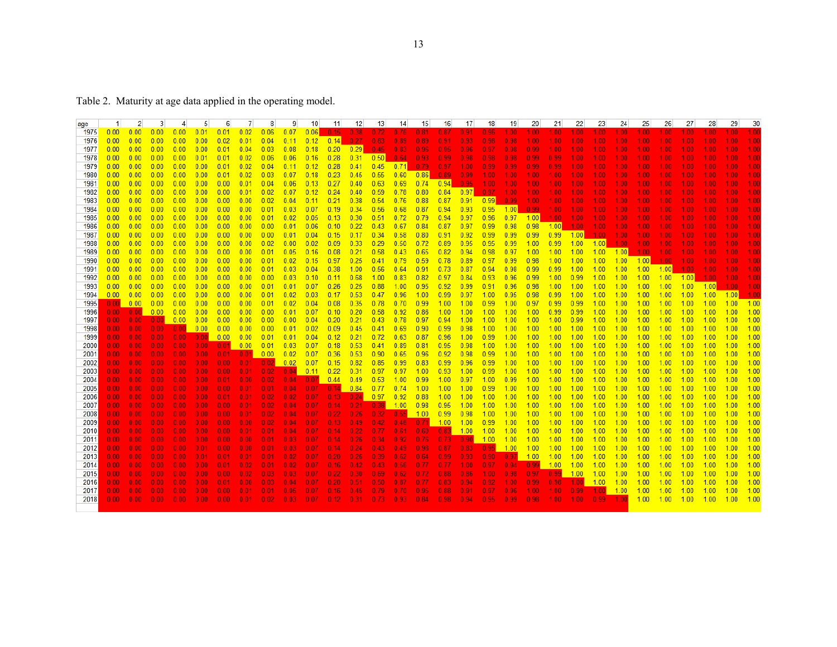| age  | 1.   | $\mathbf{2}$      | 3                 | 4    | 5                 | 6                                                       | 7    | 8                 | 9        | 10          | 11          | 12 <sup>12</sup> | 13 <sup>1</sup> | 14                                                                                                                     | -15               | 16                | 17                | 18          | 19                | 20                | 21                       | 22                | 23      | 24                | 25                | 26                | 27    | 28      | 29      | 30      |
|------|------|-------------------|-------------------|------|-------------------|---------------------------------------------------------|------|-------------------|----------|-------------|-------------|------------------|-----------------|------------------------------------------------------------------------------------------------------------------------|-------------------|-------------------|-------------------|-------------|-------------------|-------------------|--------------------------|-------------------|---------|-------------------|-------------------|-------------------|-------|---------|---------|---------|
| 1975 | 0.00 | 0.00              | 0.00              | 0.00 | 0.01              | 0.01                                                    | 0.02 | 0.06              | 0.07     | 0.06        | 0.15        | 0.38             | 0.72            | 0.76                                                                                                                   | 0.81              | 0.87              | 0.91              | 0.96        | $1.00 -$          | 1.00 <sub>1</sub> | 1.00                     | 1.00 <sub>1</sub> | 1.00    | 1.00 <sub>1</sub> | 1.00              | 1.00              | 1.00  | 1.00    |         |         |
| 1976 | 0.00 | 0.00              | 0.00              | 0.00 | 0.00              | 0.02                                                    | 0.01 | 0.04              | 0.11     | 0.12        | 0.14        | 0.27             | 0.63            | 0.89                                                                                                                   | 0.89              | 0.91              | 0.93 <sub>1</sub> | 0.96        | 0.98              | 1.00 <sub>1</sub> | 1.00                     | 1.00 <sub>1</sub> | 1.00    | 1.00              | 1.00.             | 1.00              | 1.00  | 1.00    |         |         |
| 1977 | 0.00 | 0.00              | 0.00              | 0.00 | 0.00              | 0.01                                                    | 0.04 | 0.03              | 0.08     | 0.18        | 0.20        | 0.29             | 0.45            | 0.83                                                                                                                   | 0.96              | 0.95              | 0.96              | 0.97        | 0.98              | 0.99              | 1.00                     | 1.00 <sub>1</sub> | 1.00    | 1.00              | 1.00              | 1.00              | 1.00  | 1.00    |         |         |
| 1978 | 0.00 | 0.00              | 0.00              | 0.00 | 0.01              | 0.01                                                    | 0.02 | 0.06              | 0.06     | 0.16        | 0.28        | 0.31             | 0.50            | 0.64                                                                                                                   | $0.93 -$          | 0.99 <sub>1</sub> | 0.98              | 0.98        | 0.98 <sub>1</sub> | 0.99 <sub>1</sub> | 0.99                     | 1.00 <sub>1</sub> | 1.00    | 1.00.             | 1.00.             | 1.00              | 1.00. | 1.00    |         |         |
| 1979 | 0.00 | 0.00              | 0.00              | 0.00 | 0.00              | 0.01                                                    | 0.02 | 0.04              | 0.11     | 0.12        | 0.28        | 0.41             | 0.45            | 0.71                                                                                                                   | 0.79              | 0.97              | $1.00 -$          | 0.99        | 0.99 <sub>1</sub> | 0.99 <sub>1</sub> | 0.99                     | 1.00 <sub>1</sub> | 1.00    | 1.00              | 1.00              | 1.00              | 1.00  | 1.00    |         |         |
| 1980 | 0.00 | 0.00              | 0.00              | 0.00 | 0.00              | 0.01                                                    | 0.02 | 0.03              | 0.07     | 0.18        | 0.23        | 0.45             | 0.55            | 0.60                                                                                                                   | $\overline{0.86}$ | 0.89              | 0.99              | $-1.00$     | 1.00 <sub>1</sub> | 1.00              | 1.00                     | 1.00 <sub>1</sub> | $-1.00$ | 1.00              | 1.00 <sub>1</sub> | 1.00.             | 1.00  | 1.00    |         |         |
| 1981 | 0.00 | 0.00              | 0.00              | 0.00 | 0.00              | 0.00                                                    | 0.01 | 0.04              | 0.06     | 0.13        | 0.27        | 0.40             | 0.63            | 0.69                                                                                                                   | 0.74              | 0.94              | 0.95              | 1.00        | $1.00 -$          | $1.00 -$          | 1.00                     | 1.00 <sub>1</sub> | 1.00    | 1.00              | 1.00.             | 1.00              | 1.00. | 1.00    |         |         |
| 1982 | 0.00 | 0.00              | 0.00              | 0.00 | 0.00              | 0.00                                                    | 0.01 | 0.02              | 0.07     | 0.12        | 0.24        | 0.40             | 0.59            | 0.78                                                                                                                   | 0.80              | 0.84              | 0.97              | 0.97        | 1.00              | $1.00 -$          | 1.00                     | $1.00 -$          | 1.00    | 1.00              | 1.00.             | 1.00              | 1.00  | 1.00    |         |         |
| 1983 | 0.00 | 0.00              | 0.00              | 0.00 | 0.00              | 0.00                                                    | 0.00 | 0.02              | 0.04     | 0.11        | 0.21        | 0.38             | 0.54            | 0.76                                                                                                                   | 0.88              | 0.87              |                   | $0.91$ 0.99 | 0.99 <sub>1</sub> | $1.00 -$          | 1.00                     | $1.00 -$          | $-1.00$ | 1.00              | 1.00 <sub>1</sub> | 1.00              | 1.00  | 1.00    |         |         |
| 1984 | 0.00 | 0.00              | 0.00              | 0.00 | 0.00              | 0.00                                                    | 0.00 | 0.01              | 0.03     | 0.07        | 0.19        | 0.34             | 0.56            | 0.68                                                                                                                   | 0.87              | 0.94              | 0.93              | 0.95        | 1.00              | 0.99              | 1.00                     | $1.00 -$          | 1.00    | 1.00 <sub>1</sub> | 1.00 <sub>1</sub> | 1.00.             | 1.00. | 1.00    |         |         |
| 1985 | 0.00 | 0.00              | 0.00              | 0.00 | 0.00              | 0.00                                                    | 0.00 | 0.01              | 0.02     | 0.05        | 0.13        | 0.30             | 0.51            | 0.72                                                                                                                   | 0.79              | 0.94              | 0.97              | 0.96        | 0.97              | 1.00              | 1.00 <sub>1</sub>        | 1.00 <sub>1</sub> | 1.00    | 1.00 <sub>1</sub> | 1.00              | 1.00              | 1.00  | 1.00    |         |         |
| 1986 | 0.00 | 0.00              | 0.00              | 0.00 | 0.00              | 0.00                                                    | 0.00 | 0.00              | 0.01     | 0.06        | 0.10        | 0.22             | 0.43            | 0.67                                                                                                                   | 0.84              | 0.87              | 0.97              | 0.99        | 0.98              | 0.98              | 1.00                     | $1.00 -$          | 1.00    | 1.00              | 1.00 <sub>1</sub> | 1.00.             | 1.00. | 1.00    |         |         |
| 1987 | 0.00 | 0.00              | 0.00              | 0.00 | 0.00              | 0.00                                                    | 0.00 | 0.00              | 0.01     | 0.04        | 0.15        | 0.17             | 0.34            | 0.58                                                                                                                   | 0.80              | 0.91              | 0.92              | 0.99        | 0.99              | 0.99              | 0.99                     | $1.00$ 1.00       |         | 1.00 <sub>1</sub> | 1.00 <sub>1</sub> | 1.00              | 1.00  | 1.00    |         |         |
| 1988 | 0.00 | 0.00              | 0.00              | 0.00 | 0.00              | 0.00                                                    | 0.00 | 0.02              | 0.00     | 0.02        | 0.09        | 0.33             | 0.29            | 0.50                                                                                                                   | 0.72              | 0.89              | 0.95              | 0.95        | 0.99              | 1.00              | 0.99                     | $1.00$ 1.00       |         | 1.00              | 1.00 <sub>1</sub> | 1.00              | 1.00  | 1.00    |         |         |
| 1989 | 0.00 | 0.00              | 0.00              | 0.00 | 0.00              | 0.00                                                    | 0.00 | 0.01              | 0.05     | 0.16        | 0.08        | 0.21             | 0.58            | 0.43                                                                                                                   | 0.65              | 0.82              | 0.94              | 0.98        | 0.97              | 1.00              | 1.00                     | 1.00              | $-1.00$ | 1.001             | 1.00              | 1.00              | 1.00  | 1.00    |         |         |
| 1990 | 0.00 | 0.00              | 0.00              | 0.00 | 0.00              | 0.00                                                    | 0.00 | 0.01              | 0.02     | 0.15        | 0.97        | 0.25             | 0.41            | 0.79                                                                                                                   | 0.59              | 0.78              | 0.89              | 0.97        | 0.99              | 0.98              | 1.00                     | 1.00              | $-1.00$ | 1.00              | $-1.00$           | 1.00 <sub>1</sub> | 1.00  | 1.00    |         | 1.00    |
| 1991 | 0.00 | 0.00              | 0.00              | 0.00 | 0.00              | 0.00                                                    | 0.00 | 0.01              | 0.03     | 0.04        | 0.38        | 1.00             | 0.56            | 0.64                                                                                                                   | 0.91              | 0.73              | 0.87              | 0.94        | 0.98              | 0.99              | 0.99                     | 1.00              | $-1.00$ | 1.00              | 1.00              | 1.00              | 1.00  | 1.00    | 1.00    | 1.00    |
| 1992 | 0.00 | 0.00              | 0.00              | 0.00 | 0.00              | 0.00                                                    | 0.00 | 0.00              | 0.03     | 0.10        | 0.11        | 0.68             | 1.00            | 0.83                                                                                                                   | 0.82              | 0.97              | 0.84              | 0.93        | 0.96              | 0.99              | 1.00                     | 0.99              | $-1.00$ | 1.00              | 1.00              | 1.00              | 1.00  | 1.00    |         | 1.00    |
| 1993 | 0.00 | 0.00              | 0.00              | 0.00 | 0.00              | 0.00                                                    | 0.00 | 0.01              | 0.01     | 0.07        | 0.26        | 0.25             | 0.88            | 1.00                                                                                                                   | 0.95              | 0.92              | 0.99              | 0.91        | 0.96              | 0.98              | 1.00                     | 1.00              | $-1.00$ | 1.00              | 1.00              | 1.00              | 1.00  | 1.00    | 1.00    | 1.00    |
| 1994 | 0.00 | 0.00              | 0.00              | 0.00 | 0.00              | 0.00                                                    | 0.00 | 0.01              | 0.02     | 0.03        | 0.17        | 0.53             | 0.47            | 0.96                                                                                                                   | 1.00              | 0.99              | 0.97              | $-1.00$     | 0.95              | 0.98              | 0.99                     | 1.00              | $-1.00$ | 1.00              | 1.00              | 1.00              | 1.00  | 1.00    | 1.00    |         |
| 1995 | 0.00 | 0.00              | 0.00              | 0.00 | 0.00              | 0.00                                                    | 0.00 | 0.01              | 0.02     | 0.04        | 0.08        | 0.35             | 0.78            | 0.70                                                                                                                   | 0.99              | 1.00              | 1.00              | 0.99        | 1.00              | 0.97              | 0.99                     | 0.99              | $-1.00$ | 1.00              | 1.00              | 1.00              | 1.00  | 1.00    | 1.00    | 1.00    |
| 1996 | 0.00 | 0.00              | 0.00              | 0.00 | 0.00              | 0.00                                                    | 0.00 | 0.00              | 0.01     | 0.07        | 0.10        | 0.20             | 0.58            | 0.92                                                                                                                   | 0.86              | 1.00              | 1.00              | $-1.00$     | 1.00              | 1.00              | 0.99                     | 0.99              | $-1.00$ | 1.00              | 1.00              | 1.00              | 1.00  | 1.00    | 1.00    | 1.00    |
| 1997 | 0.00 | 0.00 <sub>1</sub> | 0.00 <sub>1</sub> | 0.00 | 0.00              | 0.00                                                    | 0.00 | 0.00              | 0.00     | 0.04        | 0.20        | 0.21             | 0.43            | 0.78                                                                                                                   | 0.97              | 0.94              | 1.00              | $-1.00$     | 1.00              | 1.00              | 1.00                     | 0.99              | $-1.00$ | 1.00              | 1.00              | 1.00              | 1.00  | 1.00    | 1.00    | 1.00    |
| 1998 | 0.00 | 0.00 <sub>1</sub> | 0.00 <sub>1</sub> | 0.00 | 0.00              | 0.00                                                    | 0.00 | 0.00              | 0.01     | 0.02        | 0.09        | 0.45             | 0.41            | 0.69                                                                                                                   | 0.90              | 0.99              | 0.98              | $-1.00$     | 1.00              | 1.00              | 1.00                     | 1.00              | $-1.00$ | 1.00              | 1.00              | 1.00              | 1.00  | 1.00    | 1.00    | 1.00    |
| 1999 | 0.00 | $0.00 -$          | 0.00              | 0.00 | 0.00              | 0.00                                                    | 0.00 | 0.01              | 0.01     | 0.04        | $-0.12$     | 0.21             | 0.72            | 0.63                                                                                                                   | 0.87              | 0.96              | 1.00              | 0.99        | 1.00              | 1.00              | 1.00                     | $1.00$ $1.00$     |         | 1.00              | 1.00              | 1.00              | 1.00  | 1.00    | 1.00    | 1.00    |
| 2000 | 0.00 | 0.00              | 0.00 <sub>1</sub> | 0.00 | $0.00 -$          | 0.01                                                    | 0.00 | 0.01              | 0.03     | 0.07        | 0.18        | 0.53             | 0.41            | 0.89                                                                                                                   | 0.81              | 0.95              | 0.98              | $-1.00$     | 1.00              | 1.00              | 1.00                     | 1.00              | $-1.00$ | 1.00              | 1.00              | 1.00              | 1.00  | 1.00    | 1.00    | 1.00    |
| 2001 | 0.00 | 0.00 <sub>1</sub> | 0.00 <sub>1</sub> | 0.00 | $0.00 -$          | 0.01                                                    | 0.01 | 0.00              | 0.02     | 0.07        | 0.36        | 0.53             | 0.90            | 0.65                                                                                                                   | 0.96              | 0.92              | 0.98              | 0.99        | 1.00              | 1.00              | 1.00                     | 1.00              | $-1.00$ | 1.00              | 1.00              | 1.00              | 1.00  | 1.00    | 1.00    | 1.00    |
| 2002 | 0.00 | $0.00 -$          | $0.00 \ 0.00$     |      | 0.00              | 0.00                                                    | 0.01 | $-0.02$           | 0.02     | 0.07        | $-0.15$     | 0.82             | 0.85            | 0.99                                                                                                                   | 0.83              | 0.99              | 0.96              | 0.99        | 1.00              | 1.00              | 1.00                     | 1.00              | $-1.00$ | 1.00              | 1.00              | 1.00              | 1.00  | 1.00    | 1.00    | 1.00    |
| 2003 | 0.00 | 0.00 <sub>1</sub> | 0.00 <sub>1</sub> | 0.00 | 0.00 <sub>1</sub> | 0.00 <sub>1</sub>                                       | 0.01 | 0.02              | 0.04     | 0.11        | 0.22        | 0.31             | 0.97            | 0.97                                                                                                                   | 1.00              | 0.93              | 1.00              | 0.99        | 1.00              | 1.00              | 1.00                     | 1.00              | $-1.00$ | 1.00              | 1.00              | 1.00              | 1.00  | 1.00    | 1.00    | 1.00    |
| 2004 | 0.00 | $0.00 -$          | 0.00 <sub>1</sub> | 0.00 | $0.00 -$          | 0.01                                                    | 0.00 | 0.02              | 0.04     | $0.07$ 0.44 |             | 0.49             | 0.53            | 1.00                                                                                                                   | 0.99              | 1.00              | 0.97              | $-1.00$     | 0.99              | 1.00              | 1.00                     | 1.00              | $-1.00$ | 1.00              | 1.00              | 1.00              | 1.00  | 1.00    | 1.00    | 1.00    |
| 2005 | 0.00 | 0.00 <sub>1</sub> | 0.00 0.00         |      |                   | $0.00$ $0.00$ $0.01$ $0.01$ $0.04$ $0.07$ $0.14$ $0.84$ |      |                   |          |             |             |                  | 0.77            | 0.74                                                                                                                   | 1.00              | 1.00              | 1.00              | 0.99        | 1.00              | 1.00              | 1.00                     | 1.00              | $-1.00$ | 1.00              | 1.00              | 1.00              | 1.00  | 1.00    | 1.00    | 1.00    |
| 2006 | 0.00 | 0.00 <sub>1</sub> | 0.00 <sub>1</sub> | 0.00 | 0.00 <sub>1</sub> | 0.01                                                    | 0.01 | 0.02              | 0.02     | 0.07        | 0.13        | 0.24             | 0.97            | 0.92                                                                                                                   | 0.88              | 1.00              | 1.00              | $-1.00$     | 1.00              | 1.00              | 1.00                     | 1.00              | $-1.00$ | 1.00              | 1.00              | 1.00              | 1.00  | 1.00    | 1.00    | 1.00    |
| 2007 | 0.00 | 0.00 <sub>1</sub> | 0.00 <sub>1</sub> | 0.00 | 0.00 <sub>1</sub> | 0.00 <sub>1</sub>                                       | 0.01 | 0.02              | 0.04     | 0.07        | 0.14        | 0.21             | 0.38            | 1.00                                                                                                                   | 0.98              | 0.95              | 1.00              | $-1.00$     | 1.00              | 1.00              | 1.00                     | 1.00              | $-1.00$ | 1.00              | 1.00              | 1.00              | 1.00  | 1.00    | 1.00    | 1.00    |
| 2008 | 0.00 | 0.00 <sub>1</sub> | 0.00 <sub>1</sub> | 0.00 | 0.00 <sub>1</sub> | 0.00                                                    | 0.01 | 0.02 <sub>1</sub> | 0.04     | 0.07        | 0.22        | 0.26             | 0.32            | $0.55$ 1.00                                                                                                            |                   | 0.99              | 0.98              | $-1.00$     | 1.00              | 1.00              | 1.00                     | 1.00              | $-1.00$ | 1.00              | 1.00              | 1.00              | 1.00  | 1.00    | 1.00    | 1.00    |
| 2009 | 0.00 | 0.00 <sub>1</sub> | 0.00              | 0.00 | 0.00 <sub>1</sub> | 0.00                                                    | 0.00 | 0.02 <sub>1</sub> | 0.04     | 0.07        | 0.13        |                  | $0.49$ $0.42$   | $0.46$ 0.71                                                                                                            |                   | 1.00              | 1.00 0.99         |             | 1.00              | 1.00              | 1.00                     | 1.00              | $-1.00$ | 1.00              | 1.00              | 1.00              | 1.00  | 1.00    | 1.00    | 1.00    |
| 2010 | 0.00 | 0.00 <sub>1</sub> | 0.00 <sub>1</sub> | 0.00 | 0.00 <sub>1</sub> | 0.00 <sub>1</sub>                                       | 0.01 | 0.01              | 0.04     | 0.07        | 0.14        | 0.22             | 0.77            |                                                                                                                        | $0.61$ 0.60       |                   | $0.83$ 1.00 1.00  |             | 1.00              | 1.00              | 1.00                     | $1.00$ $1.00$     |         | 1.00              | 1.00              | 1.00              | 1.00  | 1.00    | 1.00    | 1.00    |
| 2011 | 0.00 | 0.00.             | 0.00 <sub>1</sub> | 0.00 | 0.00 <sub>1</sub> | 0.00                                                    | 0.00 | $0.01 -$          | $0.03 -$ | 0.07        | $0.14$ 0.26 |                  | 0.34            | 0.92                                                                                                                   | $0.76$ 0.73       |                   |                   | $0.90$ 1.00 | 1.00              | $-1.00$           | 1.00                     | 1.00              | $-1.00$ | 1.00              | 1.00              | 1.00              | 1.00  | 1.00    | 1.00    | 1.00    |
| 2012 | 0.00 | $0.00 -$          | 0.00 <sub>1</sub> | 0.00 | 0.01              | 0.00                                                    | 0.00 | 0.01              | 0.03     | 0.07        | 0.14        | 0.24             | 0.43            | 0.49                                                                                                                   | 0.98              | 0.87              | $0.83 -$          | 0.95        | 1.00              | 1.00              | 1.00                     | 1.00              | $-1.00$ | 1.00              | 1.00              | 1.00              | 1.00  | 1.00    | 1.00    | 1.00    |
| 2013 | 0.00 | 0.00 <sub>1</sub> | 0.00 <sub>1</sub> | 0.00 | $0.01 -$          | 0.01                                                    | 0.01 | 0.01              | 0.02     | 0.07        | 0.20        | 0.26             | 0.39            | 0.62                                                                                                                   | 0.64              | 0.99 <sub>1</sub> | $0.93 -$          | 0.90        | $0.97$ 1.00       |                   | 1.00                     | $1.00$ $1.00$     |         | 1.00              | 1.00              | 1.00              | 1.00  | 1.00    | 1.00    | 1.00    |
| 2014 | 0.00 | 0.00 <sub>1</sub> | 0.00 <sub>1</sub> | 0.00 | $0.00 -$          | 0.01                                                    | 0.02 | 0.01              | 0.02     | 0.07        | 0.16        | 0.42             | 0.43            | 0.56                                                                                                                   | 0.77              | 0.77              | $1.00 -$          | 0.97        | 0.94              | 0.99              | 1.00                     | 1.00              | $-1.00$ | 1.00              | 1.00              | 1.00              | 1.00  | 1.00    | 1.00    | 1.00    |
| 2015 | 0.00 | $0.00 -$          | 0.00              | 0.00 | $0.00 -$          | 0.00 <sub>1</sub>                                       | 0.02 | $0.03 -$          | 0.03     | 0.07        | 0.22        | $0.30 -$         | 0.69            | 0.62                                                                                                                   | 0.72              | 0.88              | 0.86              | 1.00        | 0.98              | 0.97              | 0.99                     | $1.00$ $1.00$     |         | 1.00              | 1.00              | 1.00              | 1.00  | 1.00    | 1.00    | 1.00    |
| 2016 | 0.00 | $0.00 -$          | 0.00 <sub>1</sub> | 0.00 | $0.00 -$          | 0.01                                                    | 0.00 | 0.03              | 0.04     | 0.07        | 0.20        | 0.51             | 0.50            | 0.87                                                                                                                   | 0.77              | 0.83              | 0.94              | 0.92        | 1.00 <sub>1</sub> | 0.99              | 0.98                     | $1.00 - 1.00$     |         | 1.00              | 1.00              | 1.00              | 1.00  | 1.00    | 1.00    | 1.00    |
| 2017 | 0.00 | 0.00 <sub>1</sub> | 0.00 <sub>1</sub> | 0.00 | $0.00 -$          | 0.00 <sub>1</sub>                                       | 0.01 | 0.01              | $0.05 -$ | 0.07        | 0.16        | $0.45 -$         | 0.79            | 0.70                                                                                                                   | 0.95              | 0.88              | 0.91              | 0.97        | 0.96              | $1.00 -$          | 1.00 <sub>1</sub>        | 0.99 <sub>1</sub> | 1.00    | 1.00              | 1.00              | 1.00              | 1.00  | 1.00    | 1.00    | 1.00    |
| 2018 | 0.00 |                   |                   |      |                   |                                                         |      |                   |          |             |             |                  |                 | $0.00$ $0.00$ $0.00$ $0.00$ $0.00$ $0.01$ $0.02$ $0.03$ $0.07$ $0.12$ $0.31$ $0.73$ $0.93$ $0.84$ $0.98$ $0.94$ $0.95$ |                   |                   |                   |             | 0.99 <sub>1</sub> |                   | 0.98 1.00 1.00 0.99 1.00 |                   |         |                   | $1.00$ $1.00$     |                   | 1.00  | $-1.00$ | $-1.00$ | $-1.00$ |
|      |      |                   |                   |      |                   |                                                         |      |                   |          |             |             |                  |                 |                                                                                                                        |                   |                   |                   |             |                   |                   |                          |                   |         |                   |                   |                   |       |         |         |         |
|      |      |                   |                   |      |                   |                                                         |      |                   |          |             |             |                  |                 |                                                                                                                        |                   |                   |                   |             |                   |                   |                          |                   |         |                   |                   |                   |       |         |         |         |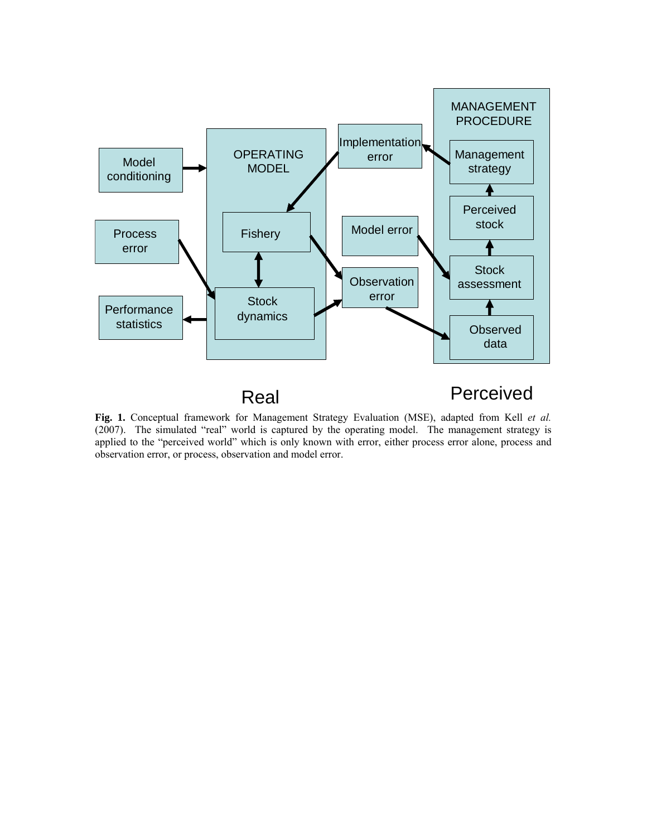

**Fig. 1.** Conceptual framework for Management Strategy Evaluation (MSE), adapted from Kell *et al.* (2007). The simulated "real" world is captured by the operating model. The management strategy is applied to the "perceived world" which is only known with error, either process error alone, process and observation error, or process, observation and model error.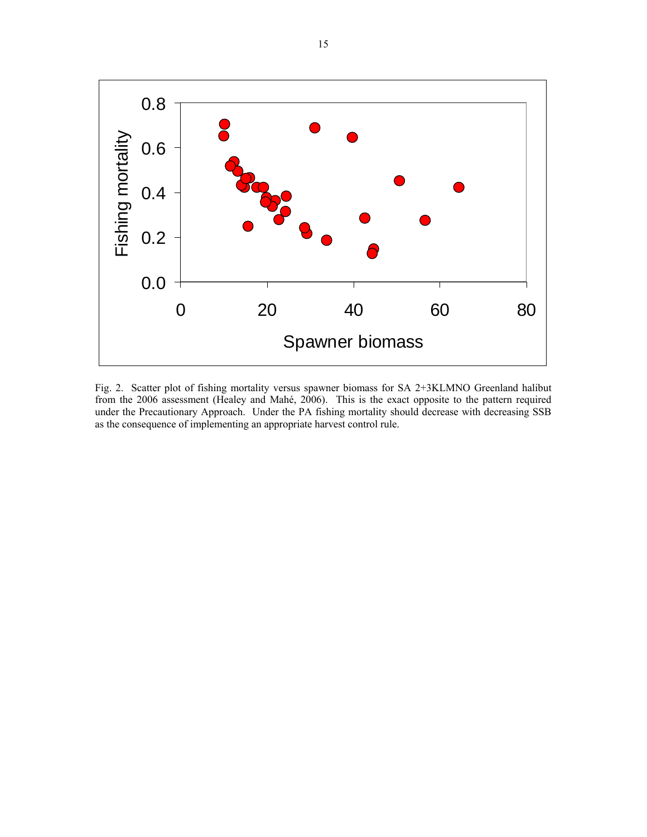

Fig. 2. Scatter plot of fishing mortality versus spawner biomass for SA 2+3KLMNO Greenland halibut from the 2006 assessment (Healey and Mahé, 2006). This is the exact opposite to the pattern required under the Precautionary Approach. Under the PA fishing mortality should decrease with decreasing SSB as the consequence of implementing an appropriate harvest control rule.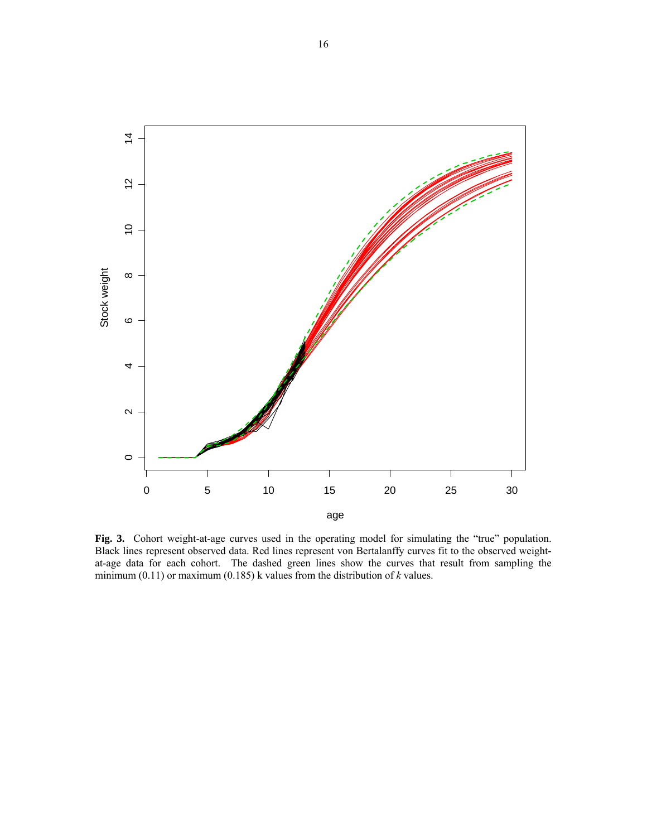

**Fig. 3.** Cohort weight-at-age curves used in the operating model for simulating the "true" population. Black lines represent observed data. Red lines represent von Bertalanffy curves fit to the observed weightat-age data for each cohort. The dashed green lines show the curves that result from sampling the minimum (0.11) or maximum (0.185) k values from the distribution of *k* values.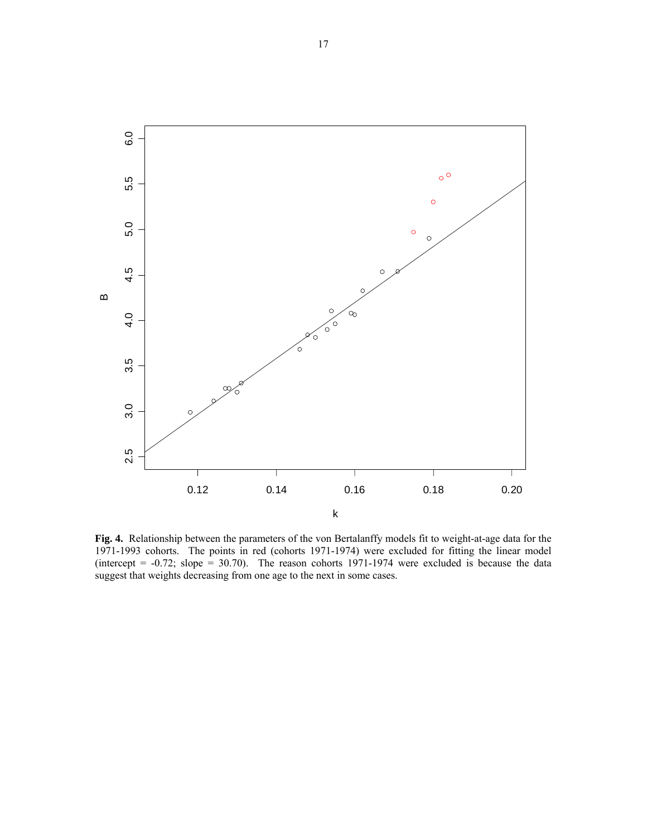

**Fig. 4.** Relationship between the parameters of the von Bertalanffy models fit to weight-at-age data for the 1971-1993 cohorts. The points in red (cohorts 1971-1974) were excluded for fitting the linear model (intercept =  $-0.72$ ; slope = 30.70). The reason cohorts 1971-1974 were excluded is because the data suggest that weights decreasing from one age to the next in some cases.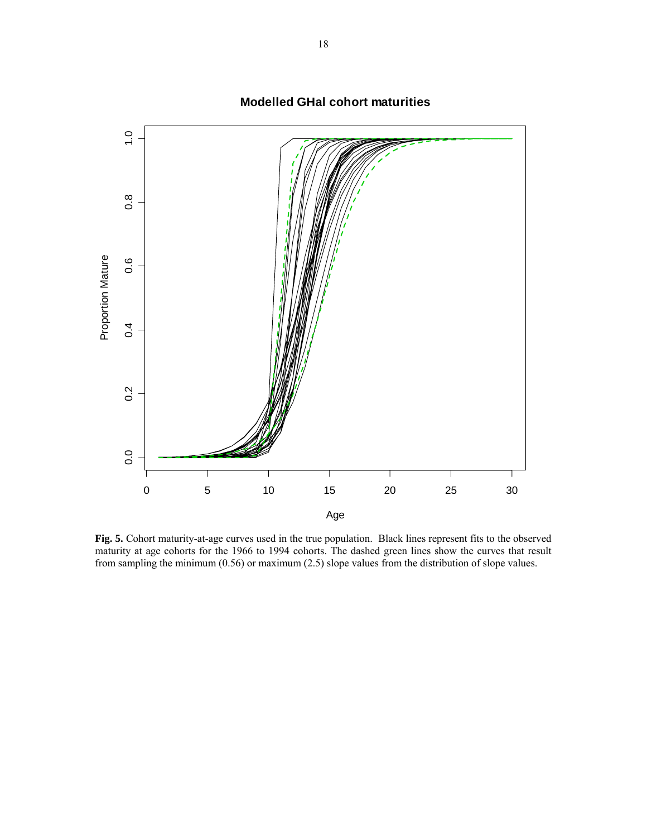

**Modelled GHal cohort maturities**

**Fig. 5.** Cohort maturity-at-age curves used in the true population. Black lines represent fits to the observed maturity at age cohorts for the 1966 to 1994 cohorts. The dashed green lines show the curves that result from sampling the minimum (0.56) or maximum (2.5) slope values from the distribution of slope values.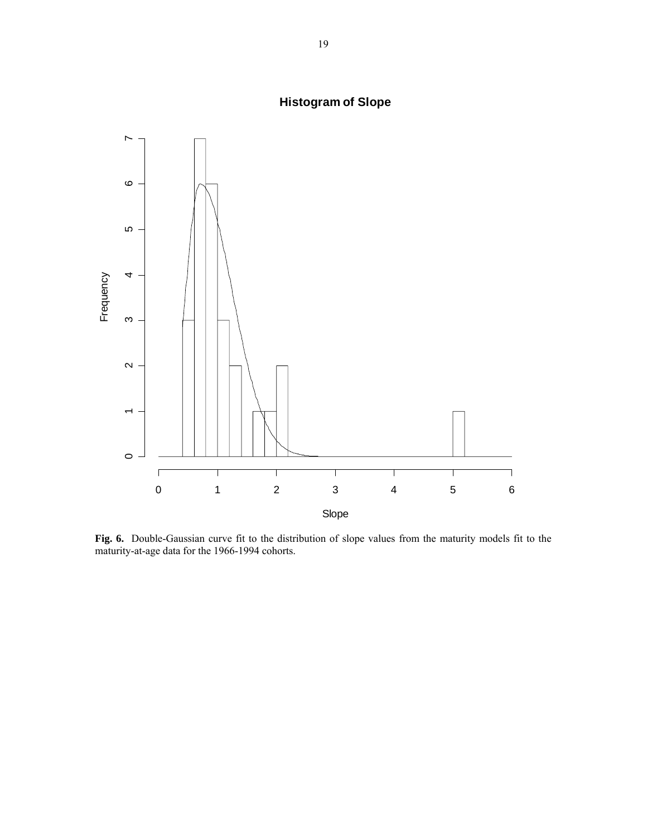

**Histogram of Slope**

**Fig. 6.** Double-Gaussian curve fit to the distribution of slope values from the maturity models fit to the maturity-at-age data for the 1966-1994 cohorts.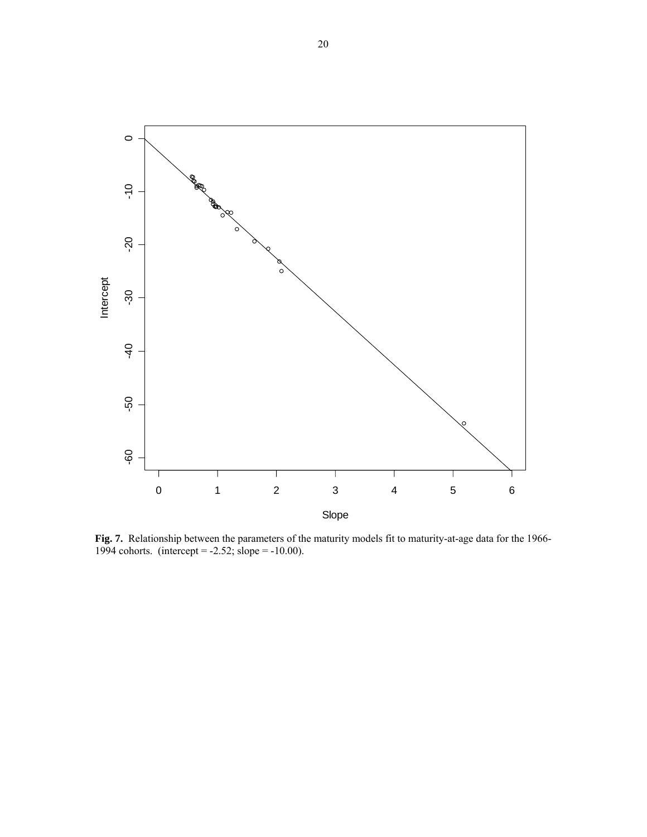

**Fig. 7.** Relationship between the parameters of the maturity models fit to maturity-at-age data for the 1966- 1994 cohorts. (intercept =  $-2.52$ ; slope =  $-10.00$ ).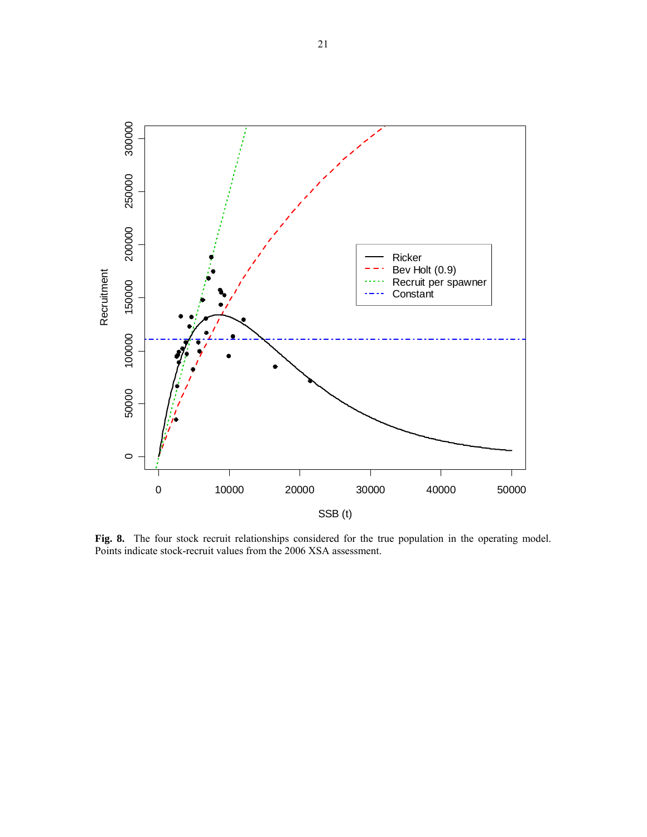

**Fig. 8.** The four stock recruit relationships considered for the true population in the operating model. Points indicate stock-recruit values from the 2006 XSA assessment.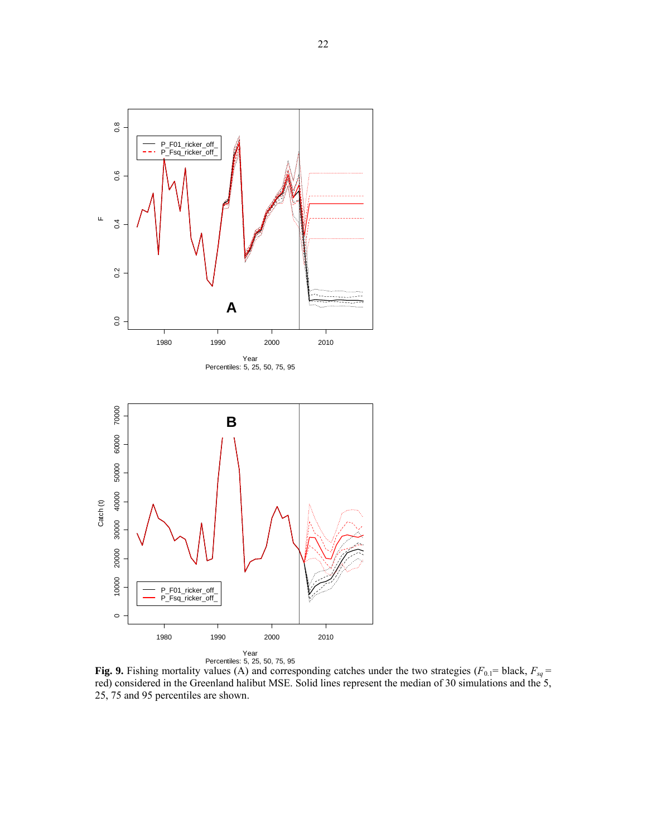

**Fig. 9.** Fishing mortality values (A) and corresponding catches under the two strategies ( $F_{0,1}$ = black,  $F_{sq}$  = red) considered in the Greenland halibut MSE. Solid lines represent the median of 30 simulations and the 5, 25, 75 and 95 percentiles are shown.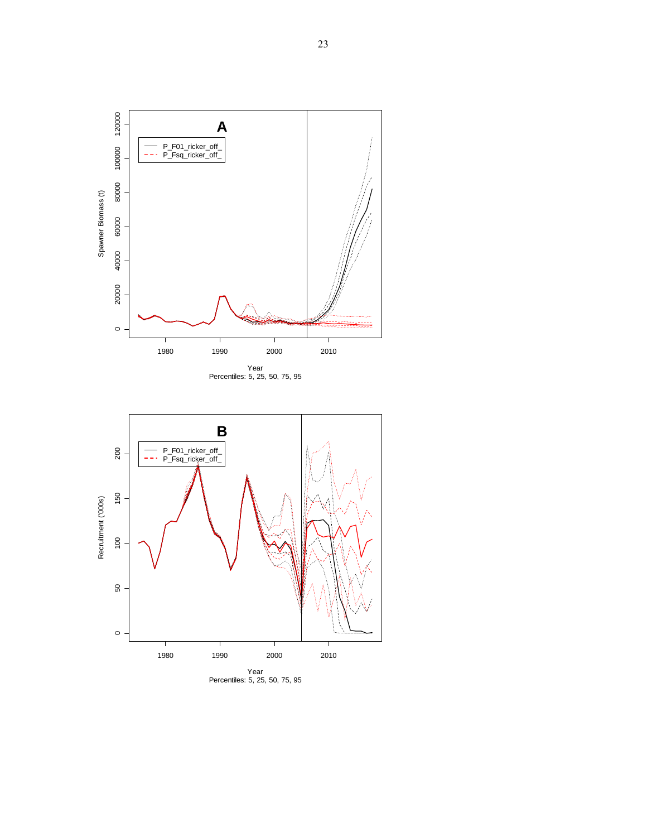

Year<br>Percentiles: 5, 25, 50, 75, 95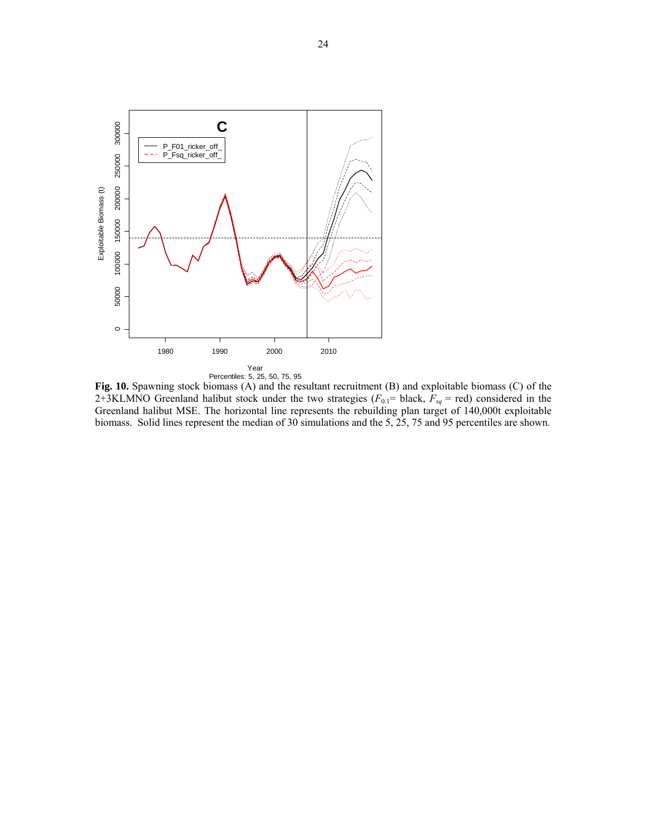

**Fig. 10.** Spawning stock biomass (A) and the resultant recruitment (B) and exploitable biomass (C) of the 2+3KLMNO Greenland halibut stock under the two strategies  $(F_{0,1}$ = black,  $F_{sq}$  = red) considered in the Greenland halibut MSE. The horizontal line represents the rebuilding plan target of 140,000t exploitable biomass. Solid lines represent the median of 30 simulations and the 5, 25, 75 and 95 percentiles are shown.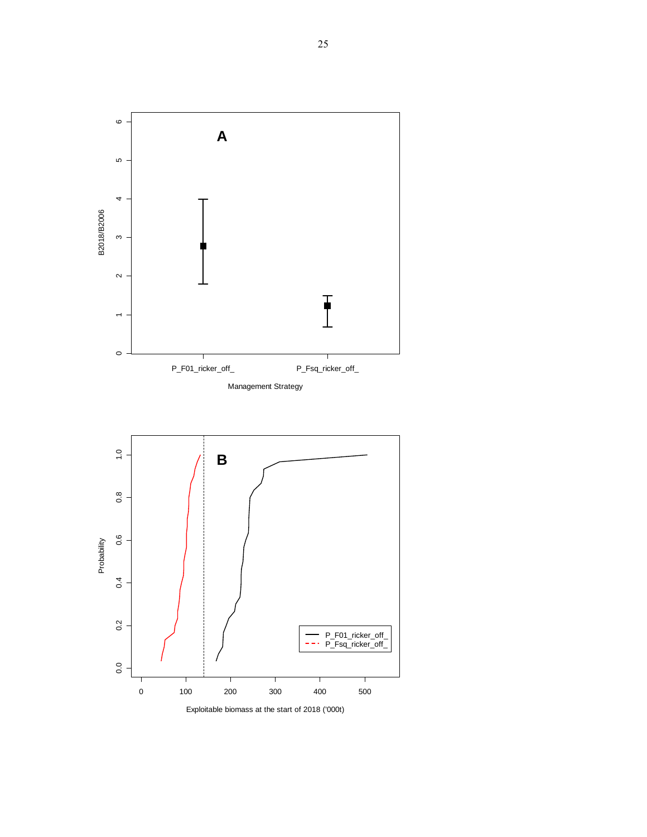



Probability

Exploitable biomass at the start of 2018 ('000t)